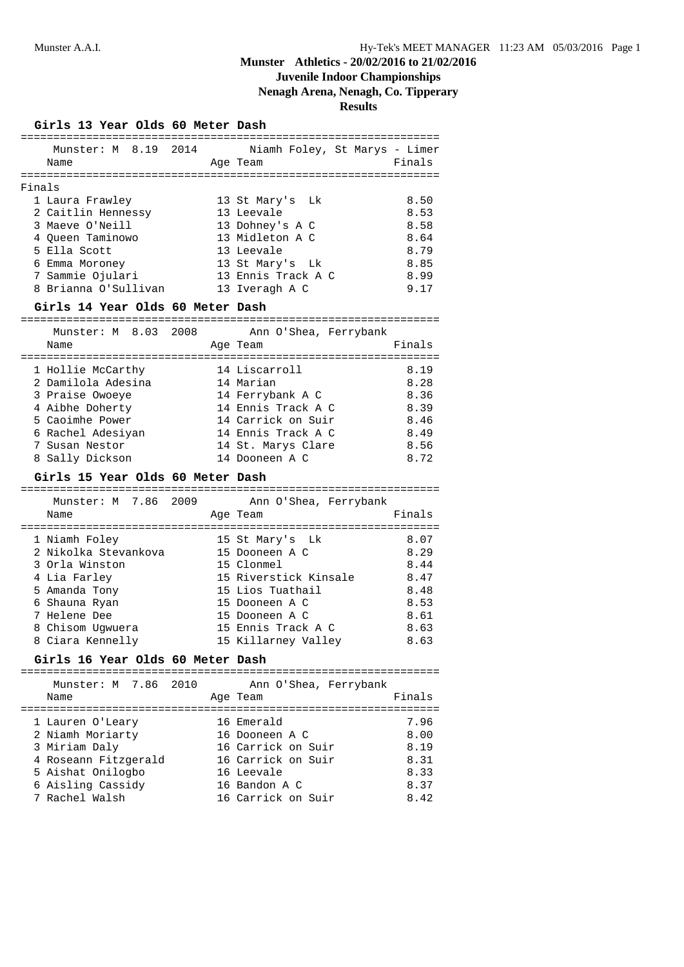# **Juvenile Indoor Championships**

## **Nenagh Arena, Nenagh, Co. Tipperary**

|        | Girls 13 Year Olds 60 Meter Dash                             |          |                                                    |              |
|--------|--------------------------------------------------------------|----------|----------------------------------------------------|--------------|
|        | Name                                                         | Age Team | Munster: M 8.19 2014 Niamh Foley, St Marys - Limer | Finals       |
|        |                                                              |          |                                                    |              |
| Finals |                                                              |          |                                                    |              |
|        | 1 Laura Frawley                                              |          | 13 St Mary's Lk                                    | 8.50         |
|        | 2 Caitlin Hennessy 13 Leevale<br>3 Maeve O'Neill 13 Dohney's |          |                                                    | 8.53         |
|        | 3 Maeve O'Neill                                              |          | 13 Dohney's A C                                    | 8.58         |
|        | 4 Oueen Taminowo                                             |          | 13 Midleton A C                                    | 8.64         |
|        | 5 Ella Scott                                                 |          | 13 Leevale                                         | 8.79         |
|        | 6 Emma Moroney                                               |          | 13 St Mary's Lk                                    | 8.85         |
|        | 7 Sammie Ojulari                                             |          | 13 Ennis Track A C                                 | 8.99         |
|        | 8 Brianna O'Sullivan                                         |          | 13 Iveragh A C                                     | 9.17         |
|        | Girls 14 Year Olds 60 Meter Dash                             |          |                                                    |              |
|        |                                                              |          |                                                    |              |
|        | Munster: M 8.03 2008                                         |          | Ann O'Shea, Ferrybank                              |              |
|        | Name                                                         |          | Age Team                                           | Finals       |
|        |                                                              |          |                                                    |              |
|        | 1 Hollie McCarthy 14 Liscarroll                              |          |                                                    | 8.19         |
|        | 2 Damilola Adesina                                           |          | 14 Marian                                          | 8.28         |
|        | 3 Praise Owoeye<br>3 Praise<br>4 Aibhe Doherty<br>100 Power  |          | 14 Ferrybank A C                                   | 8.36         |
|        |                                                              |          | 14 Ennis Track A C                                 | 8.39         |
|        |                                                              |          | 14 Carrick on Suir                                 | 8.46         |
|        | 6 Rachel Adesiyan 14 Ennis Track A C                         |          |                                                    | 8.49         |
|        | 7 Susan Nestor                                               |          | 14 St. Marys Clare                                 | 8.56         |
|        |                                                              |          |                                                    |              |
|        | 8 Sally Dickson                                              |          | 14 Dooneen A C                                     | 8.72         |
|        |                                                              |          |                                                    |              |
|        | Girls 15 Year Olds 60 Meter Dash                             |          |                                                    |              |
|        | Munster: M 7.86 2009                                         |          | Ann O'Shea, Ferrybank                              |              |
|        | Name                                                         | Age Team |                                                    | Finals       |
|        |                                                              |          |                                                    |              |
|        | 1 Niamh Foley                                                |          |                                                    | 8.07         |
|        | 2 Nikolka Stevankova                                         |          | 15 St Mary's Lk<br>15 Dooneen A C                  | 8.29         |
|        | 3 Orla Winston                                               |          | 15 Clonmel                                         | 8.44         |
|        | 4 Lia Farley                                                 |          | 15 Riverstick Kinsale 8.47                         |              |
|        |                                                              |          | 15 Lios Tuathail                                   | 8.48         |
|        | 5 Amanda Tony                                                |          |                                                    |              |
|        | 6 Shauna Ryan                                                |          | 15 Dooneen A C                                     | 8.53         |
|        | 7 Helene Dee                                                 |          | 15 Dooneen A C                                     | 8.61         |
|        | 8 Chisom Ugwuera                                             |          | 15 Ennis Track A C                                 | 8.63         |
|        | 8 Ciara Kennelly                                             |          | 15 Killarney Valley                                | 8.63         |
|        | Girls 16 Year Olds 60 Meter Dash                             |          |                                                    |              |
|        | Munster: M 7.86 2010                                         |          | Ann O'Shea, Ferrybank                              |              |
|        | Name                                                         |          | Age Team                                           | Finals       |
|        |                                                              |          |                                                    |              |
|        | 1 Lauren O'Leary                                             |          | 16 Emerald                                         | 7.96         |
|        |                                                              |          | 16 Dooneen A C                                     | 8.00         |
|        | 2 Niamh Moriarty                                             |          | 16 Carrick on Suir                                 | 8.19         |
|        | 3 Miriam Daly                                                |          |                                                    |              |
|        | 4 Roseann Fitzgerald                                         |          | 16 Carrick on Suir                                 | 8.31         |
|        | 5 Aishat Onilogbo                                            |          | 16 Leevale                                         | 8.33         |
|        | 6 Aisling Cassidy<br>7 Rachel Walsh                          |          | 16 Bandon A C<br>16 Carrick on Suir                | 8.37<br>8.42 |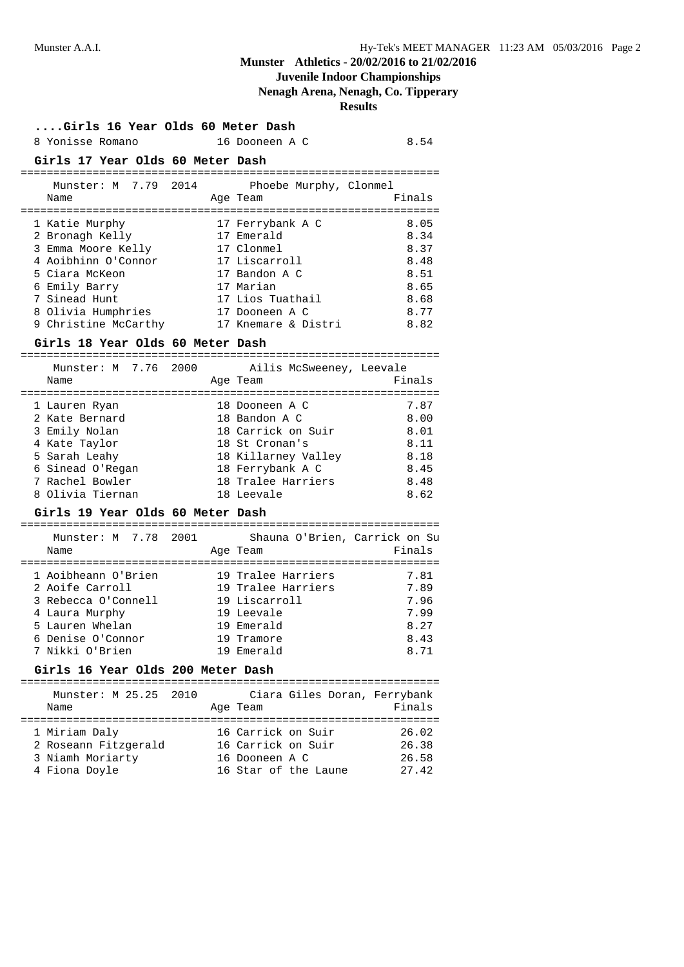## **Juvenile Indoor Championships**

**Nenagh Arena, Nenagh, Co. Tipperary**

| Girls 16 Year Olds 60 Meter Dash         |            |                               |        |
|------------------------------------------|------------|-------------------------------|--------|
| 8 Yonisse Romano                         |            | 16 Dooneen A C                | 8.54   |
| Girls 17 Year Olds 60 Meter Dash         |            |                               |        |
| Munster: M 7.79 2014                     |            | Phoebe Murphy, Clonmel        |        |
| Name                                     |            | Age Team                      | Finals |
| 1 Katie Murphy                           |            | 17 Ferrybank A C              | 8.05   |
| 2 Bronagh Kelly                          | 17 Emerald |                               | 8.34   |
| 3 Emma Moore Kelly                       |            | 17 Clonmel                    | 8.37   |
| 4 Aoibhinn O'Connor                      |            | 17 Liscarroll                 | 8.48   |
| 5 Ciara McKeon                           |            | 17 Bandon A C                 | 8.51   |
| 6 Emily Barry                            |            | 17 Marian                     | 8.65   |
| 7 Sinead Hunt                            |            | 17 Lios Tuathail              | 8.68   |
| 8 Olivia Humphries 17 Dooneen A C        |            |                               | 8.77   |
| 9 Christine McCarthy 17 Knemare & Distri |            |                               | 8.82   |
| Girls 18 Year Olds 60 Meter Dash         |            |                               |        |
| Munster: M 7.76 2000                     |            | Ailis McSweeney, Leevale      |        |
| Name                                     |            | Age Team                      | Finals |
|                                          |            |                               |        |
| 1 Lauren Ryan                            |            | 18 Dooneen A C                | 7.87   |
| 2 Kate Bernard                           |            | 18 Bandon A C                 | 8.00   |
| 3 Emily Nolan                            |            | 18 Carrick on Suir            | 8.01   |
| 4 Kate Taylor                            |            | 18 St Cronan's                | 8.11   |
| 5 Sarah Leahy                            |            | 18 Killarney Valley           | 8.18   |
| 6 Sinead O'Regan                         |            | 18 Ferrybank A C              | 8.45   |
| 7 Rachel Bowler                          |            | 18 Tralee Harriers            | 8.48   |
| 8 Olivia Tiernan                         |            | 18 Leevale                    | 8.62   |
| Girls 19 Year Olds 60 Meter Dash         |            |                               |        |
| Munster: M 7.78 2001                     |            | Shauna O'Brien, Carrick on Su |        |
| Name                                     |            | Age Team                      | Finals |
|                                          |            | 19 Tralee Harriers            | 7.81   |
| 1 Aoibheann O'Brien<br>2 Aoife Carroll   |            | 19 Tralee Harriers            | 7.89   |
| 3 Rebecca O'Connell                      |            | 19 Liscarroll                 | 7.96   |
| 4 Laura Murphy                           |            | 19 Leevale                    | 7.99   |
| 5 Lauren Whelan                          |            | 19 Emerald                    | 8.27   |
| 6 Denise O'Connor                        |            | 19 Tramore                    | 8.43   |
| 7 Nikki O'Brien                          |            | 19 Emerald                    | 8.71   |
| Girls 16 Year Olds 200 Meter Dash        |            |                               |        |
|                                          |            |                               |        |
| Munster: M 25.25 2010                    |            | Ciara Giles Doran, Ferrybank  |        |
| Name                                     |            | Age Team                      | Finals |
| 1 Miriam Daly                            |            | 16 Carrick on Suir            | 26.02  |
| 2 Roseann Fitzgerald                     |            | 16 Carrick on Suir            | 26.38  |
| 3 Niamh Moriarty                         |            | 16 Dooneen A C                | 26.58  |
| 4 Fiona Doyle                            |            | 16 Star of the Laune          | 27.42  |
|                                          |            |                               |        |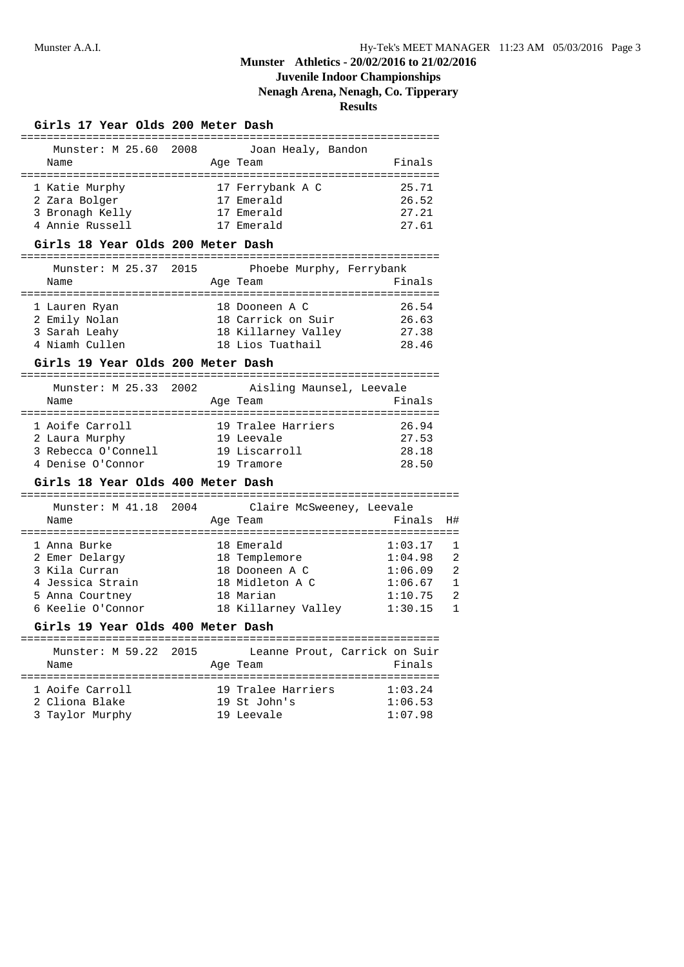## **Juvenile Indoor Championships**

**Nenagh Arena, Nenagh, Co. Tipperary**

**Results**

### **Girls 17 Year Olds 200 Meter Dash**

| Munster: M 25.60 2008<br>Name | Joan Healy, Bandon<br>Age Team | Finals |
|-------------------------------|--------------------------------|--------|
| 1 Katie Murphy                | 17 Ferrybank A C               | 25.71  |
| 2 Zara Bolger                 | 17 Emerald                     | 26.52  |
| 3 Bronagh Kelly               | 17 Emerald                     | 27.21  |
| 4 Annie Russell               | Emerald                        | 27.61  |

### **Girls 18 Year Olds 200 Meter Dash**

| Munster: M 25.37 2015 |  | Phoebe Murphy, Ferrybank |        |
|-----------------------|--|--------------------------|--------|
| Name                  |  | Age Team                 | Finals |
|                       |  |                          |        |
| 1 Lauren Ryan         |  | 18 Dooneen A C           | 26.54  |
| 2 Emily Nolan         |  | 18 Carrick on Suir       | 26.63  |
| 3 Sarah Leahy         |  | 18 Killarney Valley      | 27.38  |
| 4 Niamh Cullen        |  | 18 Lios Tuathail         | 28.46  |

### **Girls 19 Year Olds 200 Meter Dash**

| Munster: M 25.33 2002 |  | Aisling Maunsel, Leevale |        |
|-----------------------|--|--------------------------|--------|
| Name                  |  | Age Team                 | Finals |
|                       |  |                          |        |
| 1 Aoife Carroll       |  | 19 Tralee Harriers       | 26.94  |
| 2 Laura Murphy        |  | 19 Leevale               | 27.53  |
| 3 Rebecca O'Connell   |  | 19 Liscarroll            | 28.18  |
| 4 Denise O'Connor     |  | 19 Tramore               | 28.50  |

### **Girls 18 Year Olds 400 Meter Dash**

| Munster: M 41.18 2004<br>Name |  | Claire McSweeney, Leevale<br>Age Team | Finals H# |                |
|-------------------------------|--|---------------------------------------|-----------|----------------|
| 1 Anna Burke                  |  | 18 Emerald                            | 1:03.17   |                |
| 2 Emer Delargy                |  | 18 Templemore                         | 1:04.98   | 2              |
| 3 Kila Curran                 |  | 18 Dooneen A C                        | 1:06.09   | $\mathfrak{D}$ |
| 4 Jessica Strain              |  | 18 Midleton A C                       | 1:06.67   |                |
| 5 Anna Courtney               |  | 18 Marian                             | 1:10.75   | 2              |
| 6 Keelie O'Connor             |  | 18 Killarney Valley                   | 1:30.15   |                |
|                               |  |                                       |           |                |

### **Girls 19 Year Olds 400 Meter Dash**

| Munster: M 59.22 2015<br>Name | Age Team           | Leanne Prout, Carrick on Suir<br>Finals |
|-------------------------------|--------------------|-----------------------------------------|
| 1 Aoife Carroll               | 19 Tralee Harriers | 1:03.24                                 |
| 2 Cliona Blake                | 19 St John's       | 1:06.53                                 |
| 3 Taylor Murphy               | 19 Leevale         | 1:07.98                                 |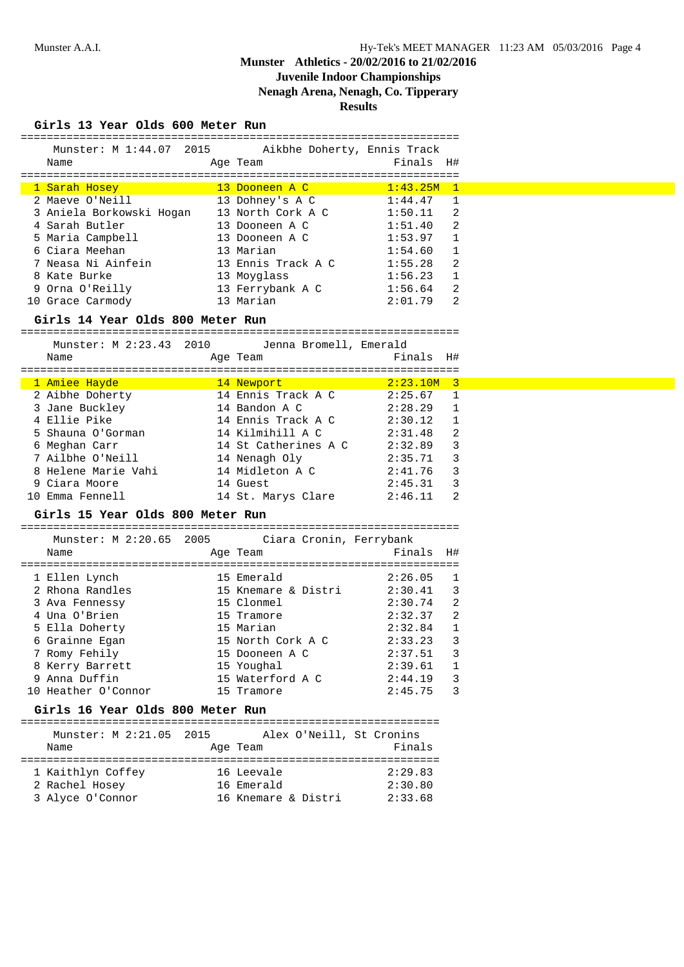# **Juvenile Indoor Championships**

**Nenagh Arena, Nenagh, Co. Tipperary**

**Results**

| Munster: M 1:44.07 2015                          | Aikbhe Doherty, Ennis Track |                  |                |
|--------------------------------------------------|-----------------------------|------------------|----------------|
| Name                                             | Age Team                    | Finals           | H#             |
|                                                  |                             | ================ |                |
| 1 Sarah Hosey                                    | 13 Dooneen A C              | 1:43.25M         | $\mathbf{1}$   |
| 2 Maeve O'Neill                                  | 13 Dohney's A C             | 1:44.47          | 1              |
| 3 Aniela Borkowski Hogan                         | 13 North Cork A C           | 1:50.11          | 2              |
| 4 Sarah Butler                                   | 13 Dooneen A C              | 1:51.40          | 2              |
| 5 Maria Campbell                                 | 13 Dooneen A C              | 1:53.97          | $\mathbf{1}$   |
| 6 Ciara Meehan                                   | 13 Marian                   | 1:54.60          | 1              |
| 7 Neasa Ni Ainfein                               | 13 Ennis Track A C          | 1:55.28          | 2              |
| 8 Kate Burke                                     | 13 Moyglass                 | 1:56.23          | 1              |
| 9 Orna O'Reilly                                  | 13 Ferrybank A C            | 1:56.64          | 2              |
| 10 Grace Carmody                                 | 13 Marian                   | 2:01.79          | 2              |
| Girls 14 Year Olds 800 Meter Run                 |                             |                  |                |
|                                                  |                             |                  |                |
| Munster: M 2:23.43 2010                          | Jenna Bromell, Emerald      |                  |                |
| Name                                             | Age Team                    | Finals           | H#             |
|                                                  |                             |                  |                |
| 1 Amiee Hayde                                    | 14 Newport                  | 2:23.10M 3       |                |
| 2 Aibhe Doherty                                  | 14 Ennis Track A C          | 2:25.67          | 1              |
| 3 Jane Buckley                                   | 14 Bandon A C               | 2:28.29          | 1              |
| 4 Ellie Pike                                     | 14 Ennis Track A C          | 2:30.12          | $\mathbf{1}$   |
| 5 Shauna O'Gorman                                | 14 Kilmihill A C            | 2:31.48          | $\overline{2}$ |
| 6 Meghan Carr                                    | 14 St Catherines A C        | 2:32.89          | 3              |
| 7 Ailbhe O'Neill                                 | 14 Nenagh Oly               | 2:35.71          | 3              |
| 8 Helene Marie Vahi                              | 14 Midleton A C             | 2:41.76          | 3              |
| 9 Ciara Moore                                    | 14 Guest                    | 2:45.31          | 3              |
| 10 Emma Fennell                                  | 14 St. Marys Clare          | 2:46.11          | 2              |
| Girls 15 Year Olds 800 Meter Run                 |                             |                  |                |
|                                                  |                             |                  |                |
| Munster: M 2:20.65 2005                          | Ciara Cronin, Ferrybank     |                  |                |
| Name                                             | Age Team                    | Finals           | H#             |
|                                                  |                             |                  |                |
| 1 Ellen Lynch                                    | 15 Emerald                  | 2:26.05          | 1              |
| 2 Rhona Randles                                  | 15 Knemare & Distri         | 2:30.41          | 3              |
| 3 Ava Fennessy                                   | 15 Clonmel                  | 2:30.74          | 2              |
| 4 Una O'Brien                                    | 15 Tramore                  | 2:32.37          | 2              |
| 5 Ella Doherty                                   | 15 Marian                   | 2:32.84          | 1              |
| 6 Grainne Egan                                   | 15 North Cork A C           | 2:33.23          | 3              |
| 7 Romy Fehily                                    | 15 Dooneen A C              | 2:37.51          | 3              |
| 8 Kerry Barrett                                  | 15 Youghal                  | 2:39.61          | 1              |
| 9 Anna Duffin                                    | 15 Waterford A C            | 2:44.19          | 3              |
| 10 Heather O'Connor                              | 15 Tramore                  | 2:45.75          | 3              |
| Girls 16 Year Olds 800 Meter Run                 |                             |                  |                |
|                                                  |                             |                  |                |
| Munster: M 2:21.05 2015 Alex O'Neill, St Cronins |                             |                  |                |
| Name                                             | Age Team                    | Finals           |                |
|                                                  |                             |                  |                |
| 1 Kaithlyn Coffey                                | 16 Leevale                  | 2:29.83          |                |
| 2 Rachel Hosey                                   | 16 Emerald                  | 2:30.80          |                |

3 Alyce O'Connor 16 Knemare & Distri 2:33.68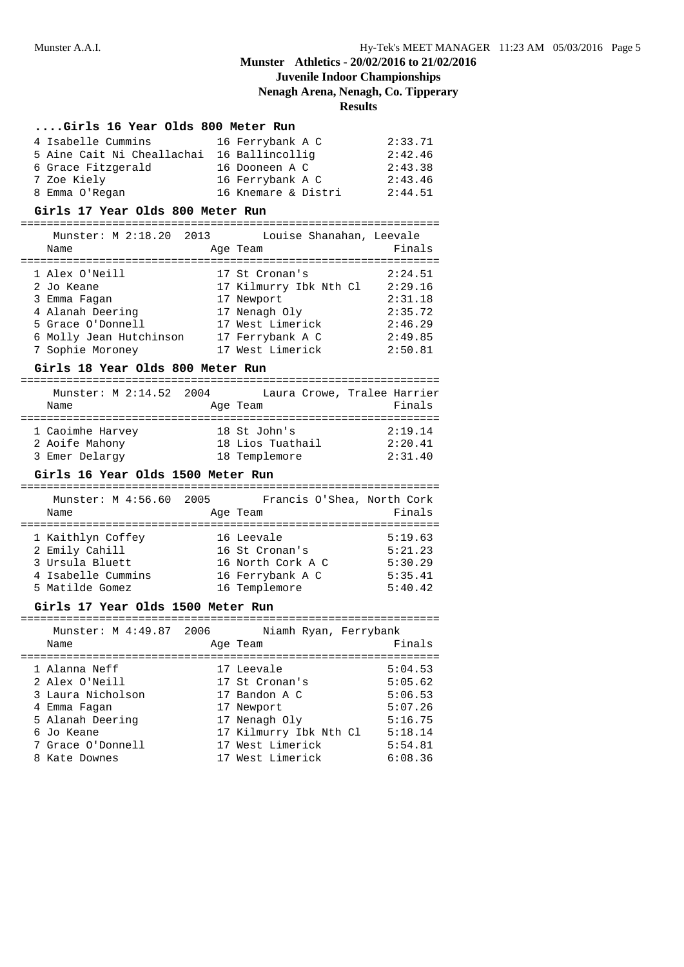# **Juvenile Indoor Championships**

**Nenagh Arena, Nenagh, Co. Tipperary**

## **Results**

### **....Girls 16 Year Olds 800 Meter Run**

| 4 Isabelle Cummins                         | 16 Ferrybank A C    | 2:33.71 |
|--------------------------------------------|---------------------|---------|
| 5 Aine Cait Ni Cheallachai 16 Ballincollig |                     | 2:42.46 |
| 6 Grace Fitzgerald                         | 16 Dooneen A C      | 2:43.38 |
| 7 Zoe Kiely                                | 16 Ferrybank A C    | 2:43.46 |
| 8 Emma O'Regan                             | 16 Knemare & Distri | 2:44.51 |

#### **Girls 17 Year Olds 800 Meter Run**

================================================================ Munster: M 2:18.20 2013 Louise Shanahan, Leevale

| Name                    | Age Team               | Finals  |
|-------------------------|------------------------|---------|
| 1 Alex O'Neill          | 17 St Cronan's         | 2:24.51 |
| 2 Jo Keane              | 17 Kilmurry Ibk Nth Cl | 2:29.16 |
| 3 Emma Fagan            | 17 Newport             | 2:31.18 |
| 4 Alanah Deering        | 17 Nenagh Oly          | 2:35.72 |
| 5 Grace O'Donnell       | 17 West Limerick       | 2:46.29 |
| 6 Molly Jean Hutchinson | 17 Ferrybank A C       | 2:49.85 |
| 7 Sophie Moroney        | 17 West Limerick       | 2:50.81 |

### **Girls 18 Year Olds 800 Meter Run**

| Munster: M 2:14.52 2004 |                  | Laura Crowe, Tralee Harrier |
|-------------------------|------------------|-----------------------------|
| Name                    | Age Team         | Finals                      |
|                         |                  |                             |
| 1 Caoimhe Harvey        | 18 St John's     | 2:19.14                     |
| 2 Aoife Mahony          | 18 Lios Tuathail | 2:20.41                     |
| 3 Emer Delargy          | 18 Templemore    | 2:31.40                     |

### **Girls 16 Year Olds 1500 Meter Run**

| Munster: M 4:56.60 2005<br>Name | Francis O'Shea, North Cork<br>Age Team | Finals  |
|---------------------------------|----------------------------------------|---------|
| 1 Kaithlyn Coffey               | 16 Leevale                             | 5:19.63 |
| 2 Emily Cahill                  | 16 St Cronan's                         | 5:21.23 |
| 3 Ursula Bluett                 | 16 North Cork A C                      | 5:30.29 |
| 4 Isabelle Cummins              | 16 Ferrybank A C                       | 5:35.41 |
| 5 Matilde Gomez                 | 16 Templemore                          | 5:40.42 |

### **Girls 17 Year Olds 1500 Meter Run**

| Munster: M 4:49.87 2006 | Niamh Ryan, Ferrybank  |         |
|-------------------------|------------------------|---------|
| Name                    | Age Team               | Finals  |
|                         |                        |         |
| 1 Alanna Neff           | 17 Leevale             | 5:04.53 |
| 2 Alex O'Neill          | 17 St Cronan's         | 5:05.62 |
| 3 Laura Nicholson       | 17 Bandon A C          | 5:06.53 |
| 4 Emma Fagan            | 17 Newport             | 5:07.26 |
| 5 Alanah Deering        | 17 Nenagh Oly          | 5:16.75 |
| 6 Jo Keane              | 17 Kilmurry Ibk Nth Cl | 5:18.14 |
| 7 Grace O'Donnell       | 17 West Limerick       | 5:54.81 |
| 8 Kate Downes           | 17 West Limerick       | 6:08.36 |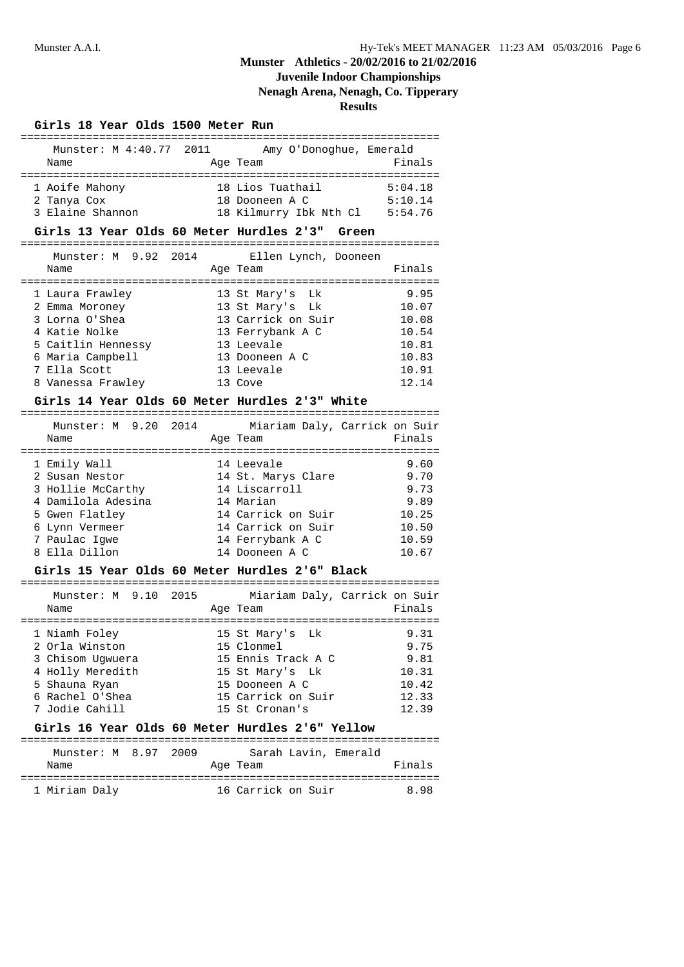# **Juvenile Indoor Championships**

## **Nenagh Arena, Nenagh, Co. Tipperary**

**Results**

### **Girls 18 Year Olds 1500 Meter Run**

| Munster: M 4:40.77 2011 | Amy O'Donoghue, Emerald |         |
|-------------------------|-------------------------|---------|
| Name                    | Age Team                | Finals  |
|                         |                         |         |
| 1 Aoife Mahony          | 18 Lios Tuathail        | 5:04.18 |
| 2 Tanya Cox             | 18 Dooneen A C          | 5:10.14 |
| 3 Elaine Shannon        | 18 Kilmurry Ibk Nth Cl  | 5:54.76 |

### **Girls 13 Year Olds 60 Meter Hurdles 2'3" Green**

| Munster: M 9.92 2014<br>Name |  | Ellen Lynch, Dooneen<br>Age Team | Finals |
|------------------------------|--|----------------------------------|--------|
|                              |  |                                  |        |
| 1 Laura Frawley              |  | 13 St Mary's Lk                  | 9.95   |
| 2 Emma Moroney               |  | 13 St Mary's Lk                  | 10.07  |
| 3 Lorna O'Shea               |  | 13 Carrick on Suir               | 10.08  |
| 4 Katie Nolke                |  | 13 Ferrybank A C                 | 10.54  |
| 5 Caitlin Hennessy           |  | 13 Leevale                       | 10.81  |
| 6 Maria Campbell             |  | 13 Dooneen A C                   | 10.83  |
| 7 Ella Scott                 |  | 13 Leevale                       | 10.91  |
| 8 Vanessa Frawley            |  | 13 Cove                          | 12.14  |

### **Girls 14 Year Olds 60 Meter Hurdles 2'3" White**

| Munster: M 9.20 2014<br>Name |  | Age Team           | Miariam Daly, Carrick on Suir<br>Finals |
|------------------------------|--|--------------------|-----------------------------------------|
| 1 Emily Wall                 |  | 14 Leevale         | 9.60                                    |
| 2 Susan Nestor               |  | 14 St. Marys Clare | 9.70                                    |
| 3 Hollie McCarthy            |  | 14 Liscarroll      | 9.73                                    |
| 4 Damilola Adesina           |  | 14 Marian          | 9.89                                    |
| 5 Gwen Flatley               |  | 14 Carrick on Suir | 10.25                                   |
| 6 Lynn Vermeer               |  | 14 Carrick on Suir | 10.50                                   |
| 7 Paulac Iqwe                |  | 14 Ferrybank A C   | 10.59                                   |
| Ella Dillon                  |  | 14 Dooneen A C     | 10.67                                   |

### **Girls 15 Year Olds 60 Meter Hurdles 2'6" Black**

| Munster: M 9.10 2015<br>Name |  | Age Team           | Miariam Daly, Carrick on Suir<br>Finals |
|------------------------------|--|--------------------|-----------------------------------------|
| 1 Niamh Foley                |  | 15 St Mary's Lk    | 9.31                                    |
| 2 Orla Winston               |  | 15 Clonmel         | 9.75                                    |
| 3 Chisom Uqwuera             |  | 15 Ennis Track A C | 9.81                                    |
| 4 Holly Meredith             |  | 15 St Mary's Lk    | 10.31                                   |
| 5 Shauna Ryan                |  | 15 Dooneen A C     | 10.42                                   |
| 6 Rachel O'Shea              |  | 15 Carrick on Suir | 12.33                                   |
| 7 Jodie Cahill               |  | 15 St Cronan's     | 12.39                                   |

## **Girls 16 Year Olds 60 Meter Hurdles 2'6" Yellow**

| Munster: M 8.97 2009 |  | Sarah Lavin, Emerald |        |  |
|----------------------|--|----------------------|--------|--|
| Name                 |  | Age Team             | Finals |  |
| 1 Miriam Daly        |  | 16 Carrick on Suir   | 898    |  |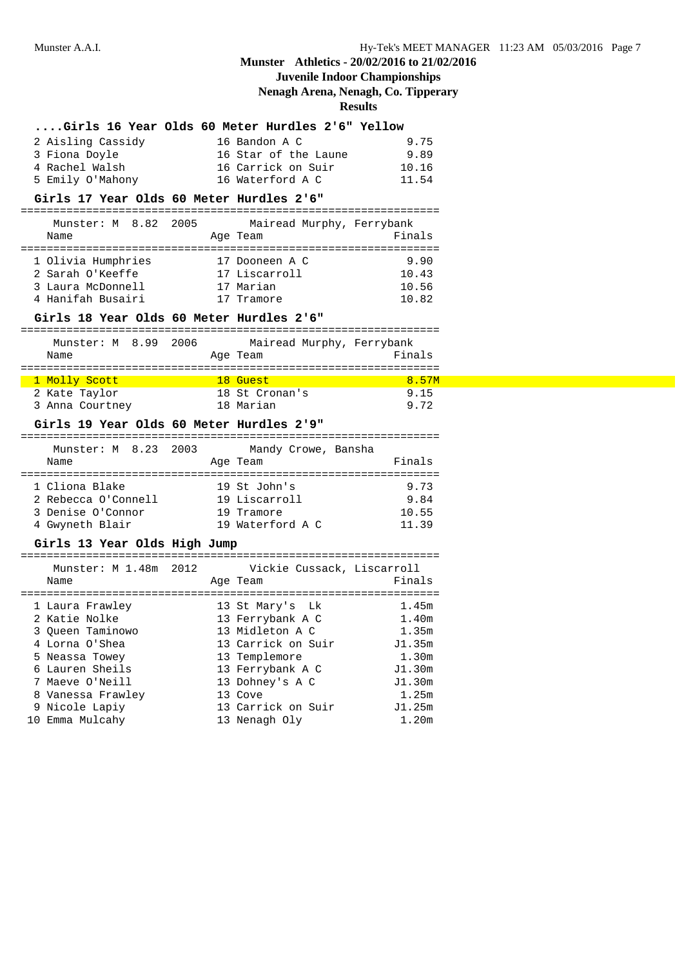# **Juvenile Indoor Championships**

**Nenagh Arena, Nenagh, Co. Tipperary**

| Girls 16 Year Olds 60 Meter Hurdles 2'6" Yellow  |                                                                                                                                                                                                                                  |                                           |                |
|--------------------------------------------------|----------------------------------------------------------------------------------------------------------------------------------------------------------------------------------------------------------------------------------|-------------------------------------------|----------------|
| 2 Aisling Cassidy                                |                                                                                                                                                                                                                                  |                                           | 9.75           |
| 3 Fiona Doyle                                    |                                                                                                                                                                                                                                  | 16 Bandon A C<br>16 Star of the Laune     | 9.89           |
| 4 Rachel Walsh                                   |                                                                                                                                                                                                                                  | 16 Carrick on Suir                        | 10.16          |
| 5 Emily O'Mahony                                 |                                                                                                                                                                                                                                  | 16 Waterford A C 11.54                    |                |
| Girls 17 Year Olds 60 Meter Hurdles 2'6"         |                                                                                                                                                                                                                                  |                                           |                |
| Munster: M 8.82 2005 Mairead Murphy, Ferrybank   |                                                                                                                                                                                                                                  |                                           |                |
| Name                                             |                                                                                                                                                                                                                                  | Age Team                                  | Finals         |
| 1 Olivia Humphries 17 Dooneen A C                |                                                                                                                                                                                                                                  |                                           | 9.90           |
| 2 Sarah O'Keeffe                                 |                                                                                                                                                                                                                                  | 17 Liscarroll                             | 10.43          |
| 3 Laura McDonnell                                |                                                                                                                                                                                                                                  |                                           | 10.56          |
| 4 Hanifah Busairi                                |                                                                                                                                                                                                                                  | 17 Marian<br>17 Tramore                   | 10.82          |
| Girls 18 Year Olds 60 Meter Hurdles 2'6"         |                                                                                                                                                                                                                                  |                                           |                |
| Munster: M 8.99 2006 Mairead Murphy, Ferrybank   |                                                                                                                                                                                                                                  |                                           |                |
| Name                                             | Age Team                                                                                                                                                                                                                         |                                           | Finals         |
|                                                  | and the set of the set of the set of the set of the set of the set of the set of the set of the set of the set<br>East of the set of the set of the set of the set of the set of the set of the set of the set of the set of the |                                           | 8.57M          |
| 1 Molly Scott North<br>2 Kate Taylor             |                                                                                                                                                                                                                                  | 18 St Cronan's                            | 9.15           |
| 3 Anna Courtney 18 Marian                        |                                                                                                                                                                                                                                  |                                           | 9.72           |
|                                                  |                                                                                                                                                                                                                                  |                                           |                |
|                                                  |                                                                                                                                                                                                                                  |                                           |                |
| Girls 19 Year Olds 60 Meter Hurdles 2'9"         |                                                                                                                                                                                                                                  |                                           |                |
| Munster: M 8.23 2003                             |                                                                                                                                                                                                                                  | Mandy Crowe, Bansha                       |                |
| Name                                             |                                                                                                                                                                                                                                  | Age Team                                  | Finals         |
|                                                  |                                                                                                                                                                                                                                  |                                           |                |
| 1 Cliona Blake                                   |                                                                                                                                                                                                                                  |                                           | 9.73           |
| 2 Rebecca O'Connell                              |                                                                                                                                                                                                                                  | 19 St John's<br>19 Liscarroll             | 9.84           |
| 3 Denise O'Connor                                |                                                                                                                                                                                                                                  | 19 Tramore<br>19 Waterford A C            | 10.55<br>11.39 |
| 4 Gwyneth Blair<br>Girls 13 Year Olds High Jump  |                                                                                                                                                                                                                                  |                                           |                |
|                                                  |                                                                                                                                                                                                                                  |                                           |                |
| Munster: M 1.48m 2012 Vickie Cussack, Liscarroll |                                                                                                                                                                                                                                  |                                           |                |
| Name                                             |                                                                                                                                                                                                                                  | Age Team                                  | Finals         |
| 1 Laura Frawley 13 St Mary's                     |                                                                                                                                                                                                                                  | Lk                                        | 1.45m          |
| 2 Katie Nolke                                    |                                                                                                                                                                                                                                  |                                           |                |
| 3 Queen Taminowo                                 |                                                                                                                                                                                                                                  | 13 Ferrybank A C 1.40m<br>13 Midleton A C | 1.35m          |
| 4 Lorna O'Shea                                   |                                                                                                                                                                                                                                  | 13 Carrick on Suir                        | J1.35m         |
| 5 Neassa Towey                                   |                                                                                                                                                                                                                                  | 13 Templemore                             | 1.30m          |
| 6 Lauren Sheils                                  |                                                                                                                                                                                                                                  | 13 Ferrybank A C                          | J1.30m         |
| 7 Maeve O'Neill                                  |                                                                                                                                                                                                                                  | 13 Dohney's A C                           | J1.30m         |
| 8 Vanessa Frawley                                |                                                                                                                                                                                                                                  | 13 Cove                                   | 1.25m          |
| 9 Nicole Lapiy                                   |                                                                                                                                                                                                                                  | 13 Carrick on Suir<br>13 Nenagh Oly       | J1.25m         |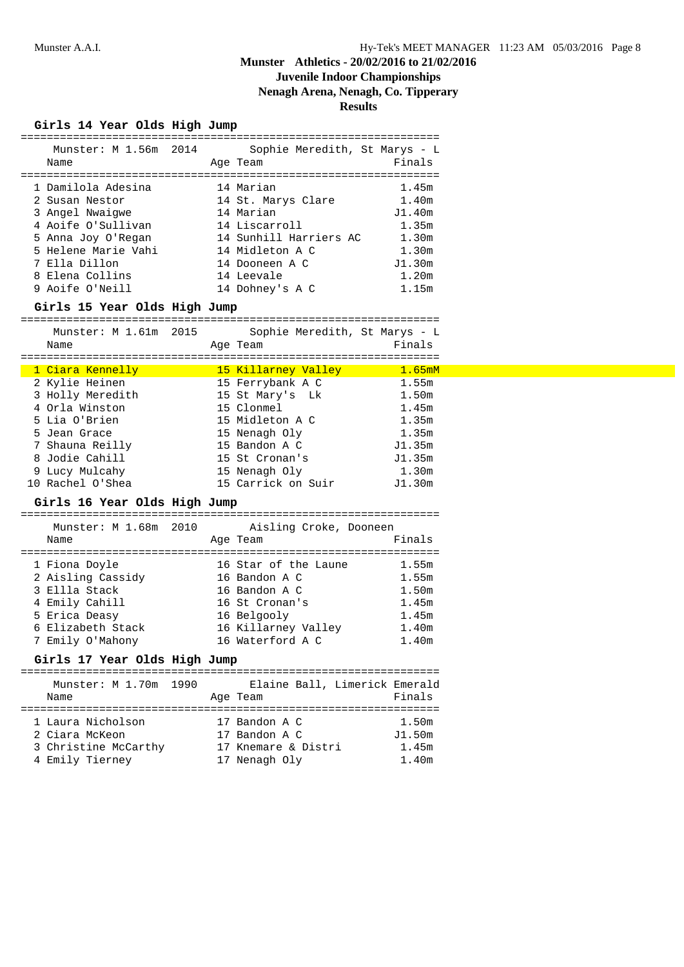# **Juvenile Indoor Championships**

**Nenagh Arena, Nenagh, Co. Tipperary**

| Girls 14 Year Olds High Jump<br>================== |                                                                  |        |
|----------------------------------------------------|------------------------------------------------------------------|--------|
| Munster: M 1.56m 2014                              | :==============================<br>Sophie Meredith, St Marys - L |        |
| Name                                               | Age Team                                                         | Finals |
| 1 Damilola Adesina                                 | 14 Marian                                                        | 1.45m  |
| 2 Susan Nestor                                     | 14 St. Marys Clare                                               | 1.40m  |
| 3 Angel Nwaigwe                                    | 14 Marian                                                        | J1.40m |
| 4 Aoife O'Sullivan                                 | 14 Liscarroll                                                    | 1.35m  |
| 5 Anna Joy O'Regan                                 | 14 Sunhill Harriers AC                                           | 1.30m  |
| 5 Helene Marie Vahi                                | 14 Midleton A C                                                  | 1.30m  |
| 7 Ella Dillon                                      | 14 Dooneen A C                                                   | J1.30m |
| 8 Elena Collins                                    | 14 Leevale                                                       | 1.20m  |
| 9 Aoife O'Neill                                    | 14 Dohney's A C                                                  | 1.15m  |
| Girls 15 Year Olds High Jump                       |                                                                  |        |
| Munster: M 1.61m 2015                              | Sophie Meredith, St Marys - L                                    |        |
| Name                                               | Age Team                                                         | Finals |
|                                                    |                                                                  |        |
| <u>1 Ciara Kennelly</u>                            | 15 Killarney Valley                                              | 1.65mM |
| 2 Kylie Heinen                                     | 15 Ferrybank A C                                                 | 1.55m  |
| 3 Holly Meredith                                   | 15 St Mary's Lk                                                  | 1.50m  |
| 4 Orla Winston                                     | 15 Clonmel                                                       | 1.45m  |
| 5 Lia O'Brien                                      | 15 Midleton A C                                                  | 1.35m  |
| 5 Jean Grace                                       | 15 Nenagh Oly                                                    | 1.35m  |
| 7 Shauna Reilly                                    | 15 Bandon A C                                                    | J1.35m |
| 8 Jodie Cahill                                     | 15 St Cronan's                                                   | J1.35m |
| 9 Lucy Mulcahy                                     | 15 Nenagh Oly                                                    | 1.30m  |
| 10 Rachel O'Shea                                   | 15 Carrick on Suir                                               | J1.30m |
| Girls 16 Year Olds High Jump                       |                                                                  |        |
| Munster: M 1.68m 2010                              | Aisling Croke, Dooneen                                           |        |
| Name                                               | Age Team                                                         | Finals |
|                                                    |                                                                  |        |
| 1 Fiona Doyle                                      | 16 Star of the Laune                                             | 1.55m  |
| 2 Aisling Cassidy                                  | 16 Bandon A C                                                    | 1.55m  |
| 3 Ellla Stack                                      | 16 Bandon A C                                                    | 1.50m  |
| 4 Emily Cahill                                     | 16 St Cronan's                                                   | 1.45m  |
| 5 Erica Deasy                                      | 16 Belgooly                                                      | 1.45m  |
| 6 Elizabeth Stack                                  | 16 Killarney Valley                                              | 1.40m  |
| 7 Emily O'Mahony                                   | 16 Waterford A C                                                 | 1.40m  |
| Girls 17 Year Olds High Jump                       |                                                                  |        |
|                                                    |                                                                  |        |
| Munster: M 1.70m<br>1990                           | Elaine Ball, Limerick Emerald                                    |        |
| Name                                               | Age Team                                                         | Finals |
|                                                    |                                                                  |        |
| 1 Laura Nicholson                                  | 17 Bandon A C                                                    | 1.50m  |
| 2 Ciara McKeon                                     | 17 Bandon A C                                                    | J1.50m |
| 3 Christine McCarthy                               | 17 Knemare & Distri                                              | 1.45m  |
| 4 Emily Tierney                                    | 17 Nenagh Oly                                                    | 1.40m  |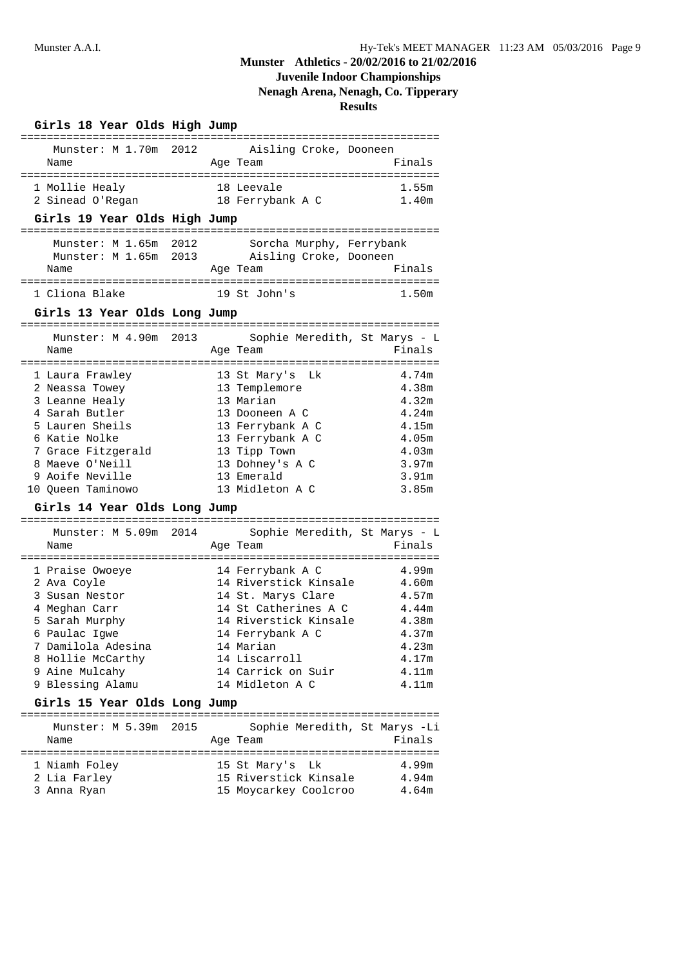# **Juvenile Indoor Championships**

**Nenagh Arena, Nenagh, Co. Tipperary**

|                                                            | ============== | Girls 18 Year Olds High Jump |                                                        |        |
|------------------------------------------------------------|----------------|------------------------------|--------------------------------------------------------|--------|
| Munster: M 1.70m 2012                                      |                |                              | ============================<br>Aisling Croke, Dooneen |        |
| Name                                                       |                |                              | Age Team                                               | Finals |
| 1 Mollie Healy                                             |                |                              |                                                        | 1.55m  |
| 2 Sinead O'Regan                                           |                |                              | 18 Leevale<br>18 Ferrybank A C                         | 1.40m  |
| Girls 19 Year Olds High Jump                               |                |                              |                                                        |        |
|                                                            |                |                              |                                                        |        |
| Munster: M 1.65m 2012                                      |                |                              | Sorcha Murphy, Ferrybank                               |        |
|                                                            |                |                              | Munster: M 1.65m 2013 Aisling Croke, Dooneen           |        |
| Name                                                       |                |                              | Age Team                                               | Finals |
| 1 Cliona Blake                                             |                |                              | 19 St John's                                           | 1.50m  |
| Girls 13 Year Olds Long Jump                               |                |                              |                                                        |        |
| Munster: M 4.90m 2013                                      |                |                              | Sophie Meredith, St Marys - L                          |        |
| Name                                                       |                |                              | Age Team                                               | Finals |
|                                                            |                |                              |                                                        |        |
| 1 Laura Frawley                                            |                |                              | 13 St Mary's Lk                                        | 4.74m  |
| 2 Neassa Towey                                             |                |                              | 13 Templemore                                          | 4.38m  |
| 3 Leanne Healy                                             |                |                              | 13 Marian                                              | 4.32m  |
| 4 Sarah Butler                                             |                |                              | 13 Dooneen A C                                         | 4.24m  |
| 5 Lauren Sheils                                            |                |                              | 13 Ferrybank A C                                       | 4.15m  |
| 6 Katie Nolke                                              |                |                              | 13 Ferrybank A C                                       | 4.05m  |
| 7 Grace Fitzgerald                                         |                |                              | 13 Tipp Town                                           | 4.03m  |
| 8 Maeve O'Neill                                            |                |                              | 13 Dohney's A C                                        | 3.97m  |
| 9 Aoife Neville                                            |                |                              |                                                        |        |
|                                                            |                |                              | 13 Emerald                                             | 3.91m  |
| 10 Queen Taminowo                                          |                |                              | 13 Midleton A C                                        | 3.85m  |
| Girls 14 Year Olds Long Jump                               |                |                              |                                                        |        |
| :================================<br>Munster: M 5.09m 2014 |                |                              | :=============================                         |        |
| Name                                                       |                |                              | Sophie Meredith, St Marys - L<br>Age Team              | Finals |
|                                                            |                |                              |                                                        |        |
| 1 Praise Owoeye                                            |                |                              | 14 Ferrybank A C                                       | 4.99m  |
| 2 Ava Coyle                                                |                |                              | 14 Riverstick Kinsale                                  | 4.60m  |
| 3 Susan Nestor                                             |                |                              | 14 St. Marys Clare                                     | 4.57m  |
| 4 Meghan Carr                                              |                |                              | 14 St Catherines A C                                   | 4.44m  |
| 5 Sarah Murphy                                             |                |                              | 14 Riverstick Kinsale                                  | 4.38m  |
| 6 Paulac Igwe                                              |                |                              | 14 Ferrybank A C                                       | 4.37m  |
| 7 Damilola Adesina                                         |                |                              | 14 Marian                                              | 4.23m  |
| 8 Hollie McCarthy                                          |                |                              | 14 Liscarroll                                          | 4.17m  |
| 9 Aine Mulcahy                                             |                |                              | 14 Carrick on Suir                                     | 4.11m  |
| 9 Blessing Alamu                                           |                |                              | 14 Midleton A C                                        | 4.11m  |
| Girls 15 Year Olds Long Jump                               |                |                              |                                                        |        |
| Munster: M 5.39m 2015                                      |                |                              | Sophie Meredith, St Marys -Li                          |        |
| Name                                                       |                |                              | Age Team                                               | Finals |
|                                                            |                |                              |                                                        |        |
| 1 Niamh Foley<br>2 Lia Farley                              |                |                              | 15 St Mary's Lk<br>15 Riverstick Kinsale 4.94m         | 4.99m  |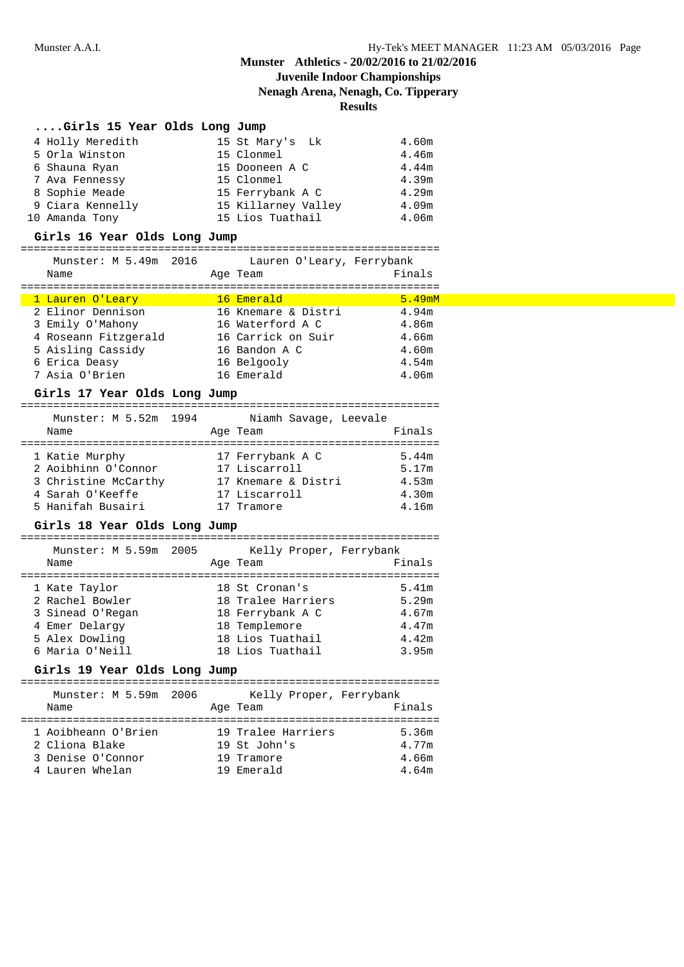# **Juvenile Indoor Championships**

**Nenagh Arena, Nenagh, Co. Tipperary**

**Results**

| Girls 15 Year Olds Long Jump |  |  |  |  |  |  |
|------------------------------|--|--|--|--|--|--|
|------------------------------|--|--|--|--|--|--|

| 4 Holly Meredith | 15 St Mary's Lk     | 4.60m             |
|------------------|---------------------|-------------------|
| 5 Orla Winston   | 15 Clonmel          | 4.46m             |
| 6 Shauna Ryan    | 15 Dooneen A C      | 4.44m             |
| 7 Ava Fennessy   | 15 Clonmel          | 4.39m             |
| 8 Sophie Meade   | 15 Ferrybank A C    | 4.29m             |
| 9 Ciara Kennelly | 15 Killarney Valley | 4.09m             |
| 10 Amanda Tony   | 15 Lios Tuathail    | 4.06 <sub>m</sub> |

### **Girls 16 Year Olds Long Jump**

### ================================================================

Munster: M 5.49m 2016 Lauren O'Leary, Ferrybank

Name **Age Team Age Team** Finals ================================================================

| 1 Lauren O'Leary     | 16 Emerald          | 5.49 <sub>mM</sub> |
|----------------------|---------------------|--------------------|
| 2 Elinor Dennison    | 16 Knemare & Distri | 4.94m              |
| 3 Emily O'Mahony     | 16 Waterford A C    | 4.86m              |
| 4 Roseann Fitzgerald | 16 Carrick on Suir  | 4.66m              |
| 5 Aisling Cassidy    | 16 Bandon A C       | 4.60m              |
| 6 Erica Deasy        | 16 Belgooly         | 4.54 <sub>m</sub>  |
| 7 Asia O'Brien       | 16 Emerald          | 4.06 <sub>m</sub>  |

### **Girls 17 Year Olds Long Jump**

# ================================================================

| Munster: M 5.52m 1994<br>Name | Niamh Savage, Leevale<br>Age Team | Finals |
|-------------------------------|-----------------------------------|--------|
| 1 Katie Murphy                | 17 Ferrybank A C                  | 5.44m  |
| 2 Aoibhinn O'Connor           | 17 Liscarroll                     | 5.17m  |
| 3 Christine McCarthy          | 17 Knemare & Distri               | 4.53m  |
| 4 Sarah O'Keeffe              | 17 Liscarroll                     | 4.30m  |
| 5 Hanifah Busairi             | 17 Tramore                        | 4.16m  |

### **Girls 18 Year Olds Long Jump**

| Munster: M 5.59m 2005 |  | Kelly Proper, Ferrybank |        |
|-----------------------|--|-------------------------|--------|
| Name                  |  | Age Team                | Finals |
| 1 Kate Taylor         |  | 18 St Cronan's          | 5.41m  |
| 2 Rachel Bowler       |  | 18 Tralee Harriers      | 5.29m  |
| 3 Sinead O'Regan      |  | 18 Ferrybank A C        | 4.67m  |
| 4 Emer Delargy        |  | 18 Templemore           | 4.47m  |
| 5 Alex Dowling        |  | 18 Lios Tuathail        | 4.42m  |
| 6 Maria O'Neill       |  | 18 Lios Tuathail        | 3.95m  |

### **Girls 19 Year Olds Long Jump**

| Munster: M 5.59m 2006<br>Name | Kelly Proper, Ferrybank<br>Age Team | Finals |
|-------------------------------|-------------------------------------|--------|
| 1 Aoibheann O'Brien           | 19 Tralee Harriers                  | 5.36m  |
| 2 Cliona Blake                | 19 St John's                        | 4.77m  |
| 3 Denise O'Connor             | 19 Tramore                          | 4.66m  |
| 4 Lauren Whelan               | 19 Emerald                          | 4.64m  |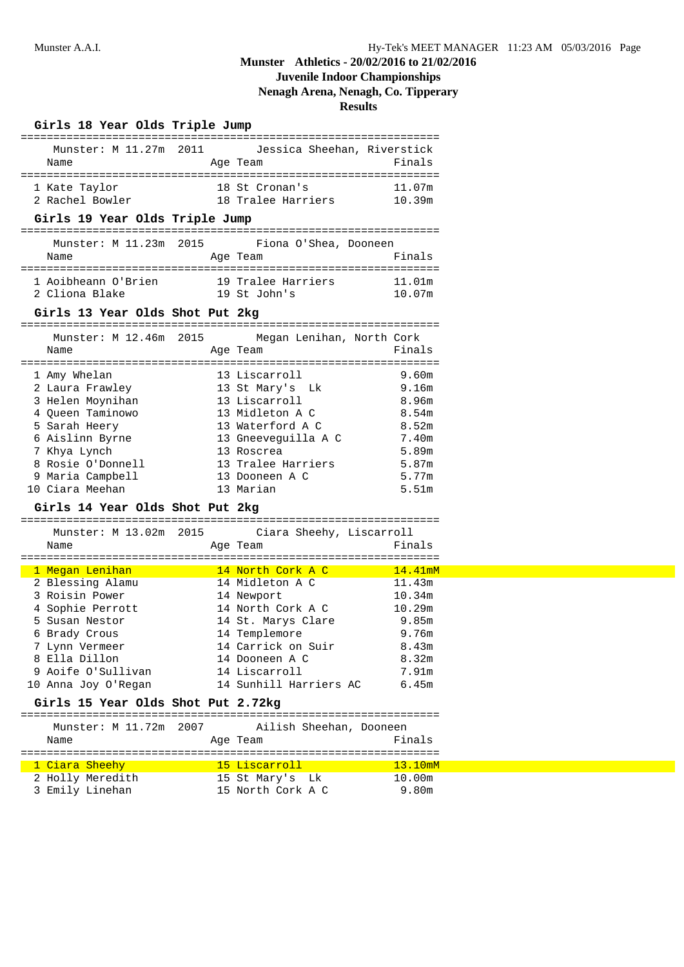# **Juvenile Indoor Championships**

**Nenagh Arena, Nenagh, Co. Tipperary**

| Girls 18 Year Olds Triple Jump     |  |                                             |         |
|------------------------------------|--|---------------------------------------------|---------|
| Munster: M 11.27m 2011<br>Name     |  | Jessica Sheehan, Riverstick<br>Age Team     | Finals  |
| 1 Kate Taylor<br>2 Rachel Bowler   |  | 18 St Cronan's<br>18 Tralee Harriers 10.39m | 11.07m  |
| Girls 19 Year Olds Triple Jump     |  |                                             |         |
| Munster: M 11.23m 2015             |  | Fiona O'Shea, Dooneen                       |         |
| Name                               |  | Age Team                                    | Finals  |
| 1 Aoibheann O'Brien                |  | 19 Tralee Harriers                          | 11.01m  |
| 2 Cliona Blake                     |  | 19 St John's                                | 10.07m  |
| Girls 13 Year Olds Shot Put 2kg    |  |                                             |         |
| Munster: M 12.46m 2015             |  | Megan Lenihan, North Cork                   |         |
| Name                               |  | Age Team                                    | Finals  |
| 1 Amy Whelan                       |  | 13 Liscarroll                               | 9.60m   |
| 2 Laura Frawley                    |  | 13 St Mary's Lk                             | 9.16m   |
| 3 Helen Moynihan                   |  | 13 Liscarroll                               | 8.96m   |
| 4 Queen Taminowo                   |  | 13 Midleton A C                             | 8.54m   |
| 5 Sarah Heery                      |  | 13 Waterford A C                            | 8.52m   |
| 6 Aislinn Byrne                    |  | 13 Gneeveguilla A C                         | 7.40m   |
| 7 Khya Lynch                       |  | 13 Roscrea                                  | 5.89m   |
| 8 Rosie O'Donnell                  |  | 13 Tralee Harriers                          | 5.87m   |
| 9 Maria Campbell                   |  | 13 Dooneen A C                              | 5.77m   |
| 10 Ciara Meehan                    |  | 13 Marian                                   | 5.51m   |
| Girls 14 Year Olds Shot Put 2kg    |  |                                             |         |
|                                    |  |                                             |         |
| Munster: M 13.02m 2015             |  | Ciara Sheehy, Liscarroll                    |         |
| Name                               |  | Age Team                                    | Finals  |
| 1 Megan Lenihan                    |  | <u>14 North Cork A C</u>                    | 14.41mM |
| 2 Blessing Alamu                   |  | 14 Midleton A C                             | 11.43m  |
| 3 Roisin Power                     |  | 14 Newport                                  | 10.34m  |
| 4 Sophie Perrott                   |  | 14 North Cork A C                           | 10.29m  |
| 5 Susan Nestor                     |  | 14 St. Marys Clare                          | 9.85m   |
| 6 Brady Crous                      |  | 14 Templemore                               | 9.76m   |
| 7 Lynn Vermeer                     |  | 14 Carrick on Suir                          | 8.43m   |
| 8 Ella Dillon                      |  | 14 Dooneen A C                              | 8.32m   |
| 9 Aoife O'Sullivan                 |  | 14 Liscarroll                               | 7.91m   |
| 10 Anna Joy O'Regan                |  | 14 Sunhill Harriers AC                      | 6.45m   |
| Girls 15 Year Olds Shot Put 2.72kg |  |                                             |         |
| Munster: M 11.72m 2007             |  | Ailish Sheehan, Dooneen                     |         |
| Name                               |  | Age Team                                    | Finals  |
| 1 Ciara Sheehy                     |  | 15 Liscarroll                               | 13.10mM |
| 2 Holly Meredith                   |  | 15 St Mary's Lk                             | 10.00m  |
| 3 Emily Linehan                    |  | 15 North Cork A C                           | 9.80m   |
|                                    |  |                                             |         |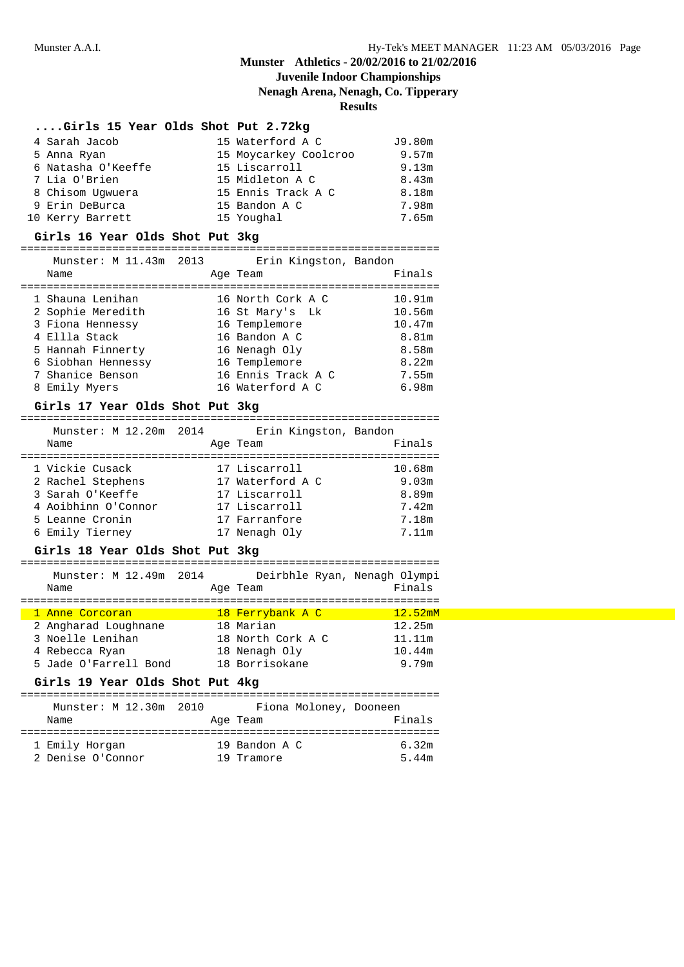## **Munster** Athletics **-** 20/02/2016 to 21/02/2016 **Juvenile Indoor Championships**

**Nenagh Arena, Nenagh, Co. Tipperary**

### **Results**

### **....Girls 15 Year Olds Shot Put 2.72kg**

| 4 Sarah Jacob      | 15 Waterford A C      | J9.80m |
|--------------------|-----------------------|--------|
| 5 Anna Ryan        | 15 Moycarkey Coolcroo | 9.57m  |
| 6 Natasha O'Keeffe | 15 Liscarroll         | 9.13m  |
| 7 Lia O'Brien      | 15 Midleton A C       | 8.43m  |
| 8 Chisom Uqwuera   | 15 Ennis Track A C    | 8.18m  |
| 9 Erin DeBurca     | 15 Bandon A C         | 7.98m  |
| 10 Kerry Barrett   | 15 Youghal            | 7.65m  |

### **Girls 16 Year Olds Shot Put 3kg**

#### ================================================================

|   | Munster: M 11.43m 2013 | Erin Kingston, Bandon |        |
|---|------------------------|-----------------------|--------|
|   | Name                   | Age Team              | Finals |
|   | 1 Shauna Lenihan       | 16 North Cork A C     | 10.91m |
|   | 2 Sophie Meredith      | 16 St Mary's Lk       | 10.56m |
|   | 3 Fiona Hennessy       | 16 Templemore         | 10.47m |
|   | 4 Ellla Stack          | 16 Bandon A C         | 8.81m  |
|   | 5 Hannah Finnerty      | 16 Nenagh Oly         | 8.58m  |
|   | 6 Siobhan Hennessy     | 16 Templemore         | 8.22m  |
|   | 7 Shanice Benson       | 16 Ennis Track A C    | 7.55m  |
| 8 | Emily Myers            | 16 Waterford A C      | 6.98m  |

### **Girls 17 Year Olds Shot Put 3kg**

| Munster: M 12.20m 2014 | Erin Kingston, Bandon |        |
|------------------------|-----------------------|--------|
| Name                   | Age Team              | Finals |
|                        |                       |        |
| 1 Vickie Cusack        | 17 Liscarroll         | 10.68m |
| 2 Rachel Stephens      | 17 Waterford A C      | 9.03m  |
| 3 Sarah O'Keeffe       | 17 Liscarroll         | 8.89m  |
| 4 Aoibhinn O'Connor    | 17 Liscarroll         | 7.42m  |
| 5 Leanne Cronin        | 17 Farranfore         | 7.18m  |
| 6 Emily Tierney        | 17 Nenagh Oly         | 7.11m  |

### **Girls 18 Year Olds Shot Put 3kg**

| Munster: M 12.49m 2014 | Deirbhle Ryan, Nenagh Olympi |         |
|------------------------|------------------------------|---------|
| Name                   | Age Team                     | Finals  |
|                        |                              |         |
| 1 Anne Corcoran        | 18 Ferrybank A C             | 12.52mM |
| 2 Angharad Loughnane   | 18 Marian                    | 12.25m  |
| 3 Noelle Lenihan       | 18 North Cork A C            | 11.11m  |
| 4 Rebecca Ryan         | 18 Nenagh Oly                | 10.44m  |
| 5 Jade O'Farrell Bond  | 18 Borrisokane               | 9.79m   |

#### **Girls 19 Year Olds Shot Put 4kg**

================================================================ Munster: M 12.30m 2010 Fiona Moloney, Dooneen Name **Age Team** Age Team Finals ================================================================ 1 Emily Horgan 19 Bandon A C 6.32m 2 Denise O'Connor 19 Tramore 5.44m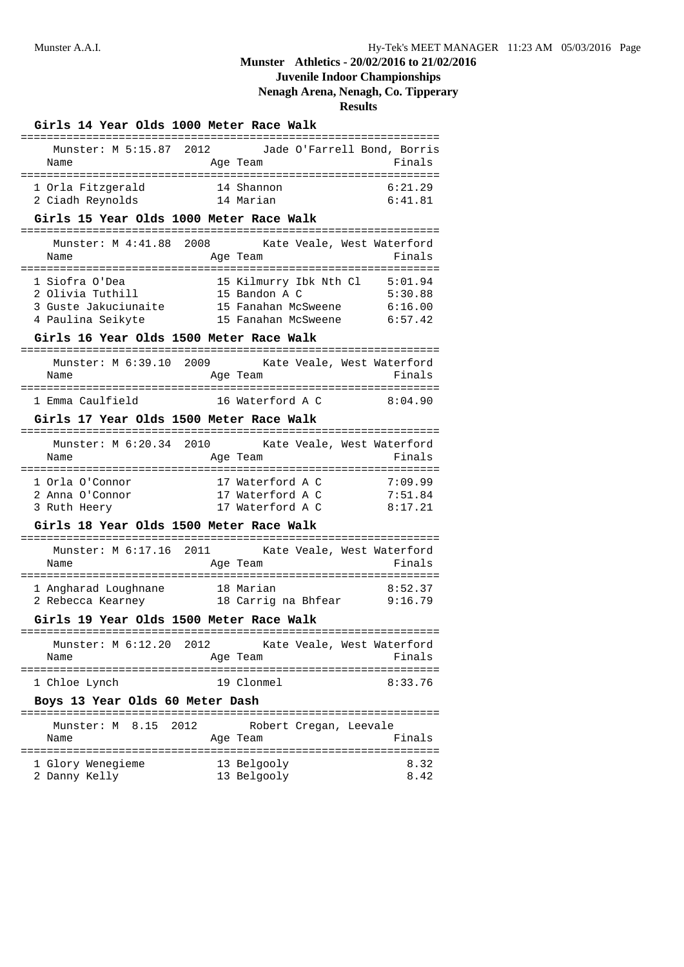## **Juvenile Indoor Championships**

**Nenagh Arena, Nenagh, Co. Tipperary**

|      |                |                                       |                                 |      | Girls 14 Year Olds 1000 Meter Race Walk                                                                                                                               |                             |  |                    |
|------|----------------|---------------------------------------|---------------------------------|------|-----------------------------------------------------------------------------------------------------------------------------------------------------------------------|-----------------------------|--|--------------------|
| Name |                |                                       | Munster: M 5:15.87 2012         |      | Age Team                                                                                                                                                              | Jade O'Farrell Bond, Borris |  | Finals             |
|      |                | 1 Orla Fitzgerald<br>2 Ciadh Reynolds |                                 |      | d 14 Shannon<br>14 Marian                                                                                                                                             |                             |  | 6:21.29<br>6:41.81 |
|      |                |                                       |                                 |      | Girls 15 Year Olds 1000 Meter Race Walk                                                                                                                               |                             |  |                    |
| Name |                |                                       | Munster: M 4:41.88 2008         |      | Age Team                                                                                                                                                              | Kate Veale, West Waterford  |  | Finals             |
|      | 1 Siofra O'Dea |                                       |                                 |      | 15 Kilmurry Ibk Nth Cl 5:01.94<br>2 Olivia Tuthill 15 Bandon A C<br>3 Guste Jakuciunaite 15 Fanahan McSweene 6:16.00<br>4 Paulina Seikyte 15 Fanahan McSweene 6:57.42 |                             |  | 5:30.88            |
|      |                |                                       |                                 |      | Girls 16 Year Olds 1500 Meter Race Walk                                                                                                                               |                             |  |                    |
| Name |                |                                       |                                 |      | Munster: M 6:39.10 2009 Kate Veale, West Waterford<br>Age Team                                                                                                        |                             |  | Finals             |
|      |                |                                       |                                 |      | 1 Emma Caulfield 16 Waterford A C 8:04.90                                                                                                                             |                             |  |                    |
|      |                |                                       |                                 |      | Girls 17 Year Olds 1500 Meter Race Walk                                                                                                                               |                             |  |                    |
| Name |                |                                       |                                 |      | Munster: M 6:20.34 2010 Kate Veale, West Waterford<br>Age Team                                                                                                        |                             |  | Finals             |
|      | 3 Ruth Heery   | 1 Orla O'Connor<br>2 Anna O'Connor    |                                 |      | 17 Waterford A C<br>17 Waterford A C 7:51.84<br>17 Waterford A C                                                                                                      |                             |  | 7:09.99<br>8:17.21 |
|      |                |                                       |                                 |      | Girls 18 Year Olds 1500 Meter Race Walk                                                                                                                               |                             |  |                    |
| Name |                |                                       |                                 |      | Munster: M 6:17.16 2011 Kate Veale, West Waterford<br>Age Team                                                                                                        |                             |  | Finals             |
|      |                |                                       |                                 |      |                                                                                                                                                                       |                             |  |                    |
|      |                |                                       |                                 |      | Girls 19 Year Olds 1500 Meter Race Walk                                                                                                                               |                             |  |                    |
| Name |                |                                       | Munster: M 6:12.20 2012         |      | Age Team                                                                                                                                                              | Kate Veale, West Waterford  |  | Finals             |
|      | 1 Chloe Lynch  |                                       |                                 |      | 19 Clonmel                                                                                                                                                            |                             |  | 8:33.76            |
|      |                |                                       | Boys 13 Year Olds 60 Meter Dash |      |                                                                                                                                                                       |                             |  |                    |
| Name |                | Munster: M 8.15                       |                                 | 2012 | Age Team                                                                                                                                                              | Robert Cregan, Leevale      |  | Finals             |
|      | 2 Danny Kelly  | 1 Glory Wenegieme                     |                                 |      | 13 Belgooly<br>13 Belgooly                                                                                                                                            |                             |  | 8.32<br>8.42       |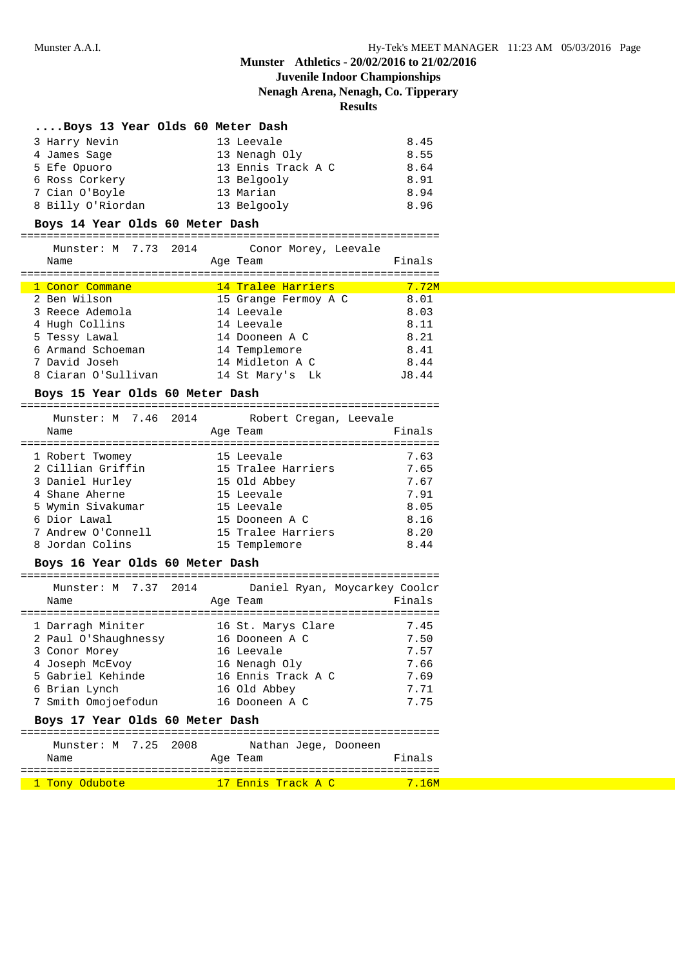# **Juvenile Indoor Championships**

**Nenagh Arena, Nenagh, Co. Tipperary**

**Results**

| Boys 13 Year Olds 60 Meter Dash |                    |      |
|---------------------------------|--------------------|------|
| 3 Harry Nevin                   | 13 Leevale         | 8.45 |
| 4 James Sage                    | 13 Nenagh Oly      | 8.55 |
| 5 Efe Opuoro                    | 13 Ennis Track A C | 8.64 |
| 6 Ross Corkery                  | 13 Belgooly        | 8.91 |
| 7 Cian O'Boyle                  | 13 Marian          | 8.94 |
| 8 Billy O'Riordan               | 13 Belgooly        | 8.96 |

### **Boys 14 Year Olds 60 Meter Dash**

================================================================

| Munster: M 7.73 2014 |  |          | Conor Morey, Leevale |        |
|----------------------|--|----------|----------------------|--------|
| Name                 |  | Age Team |                      | Finals |
|                      |  |          |                      |        |

| 1 Conor Commane     | 14 Tralee Harriers   | 7.72M |
|---------------------|----------------------|-------|
| 2 Ben Wilson        | 15 Grange Fermoy A C | 8.01  |
| 3 Reece Ademola     | 14 Leevale           | 8.03  |
| 4 Hugh Collins      | 14 Leevale           | 8.11  |
| 5 Tessy Lawal       | 14 Dooneen A C       | 8.21  |
| 6 Armand Schoeman   | 14 Templemore        | 8.41  |
| 7 David Joseh       | 14 Midleton A C      | 8.44  |
| 8 Ciaran O'Sullivan | 14 St Mary's Lk      | J8.44 |

#### **Boys 15 Year Olds 60 Meter Dash**

================================================================

| Munster: M 7.46 2014 | Robert Cregan, Leevale |        |
|----------------------|------------------------|--------|
| Name                 | Age Team               | Finals |
|                      |                        |        |
| 1 Robert Twomey      | 15 Leevale             | 7.63   |
| 2 Cillian Griffin    | 15 Tralee Harriers     | 7.65   |
| 3 Daniel Hurley      | 15 Old Abbey           | 7.67   |
| 4 Shane Aherne       | 15 Leevale             | 7.91   |
| 5 Wymin Sivakumar    | 15 Leevale             | 8.05   |
| 6 Dior Lawal         | 15 Dooneen A C         | 8.16   |
| 7 Andrew O'Connell   | 15 Tralee Harriers     | 8.20   |
| 8 Jordan Colins      | 15 Templemore          | 8.44   |
|                      |                        |        |

#### **Boys 16 Year Olds 60 Meter Dash**

| Munster: M 7.37 2014 |                    | Daniel Ryan, Moycarkey Coolcr |
|----------------------|--------------------|-------------------------------|
| Name                 | Age Team           | Finals                        |
|                      |                    |                               |
| 1 Darragh Miniter    | 16 St. Marys Clare | 7.45                          |
| 2 Paul O'Shaughnessy | 16 Dooneen A C     | 7.50                          |
| 3 Conor Morey        | 16 Leevale         | 7.57                          |
| 4 Joseph McEvoy      | 16 Nenagh Oly      | 7.66                          |
| 5 Gabriel Kehinde    | 16 Ennis Track A C | 7.69                          |
| 6 Brian Lynch        | 16 Old Abbey       | 7.71                          |
| 7 Smith Omojoefodun  | 16 Dooneen A C     | 7.75                          |
|                      |                    |                               |

### **Boys 17 Year Olds 60 Meter Dash**

================================================================ Munster: M 7.25 2008 Nathan Jege, Dooneen Name Research Manneson Age Team and Manneson Finals ================================================================ 1 Tony Odubote 17 Ennis Track A C 7.16M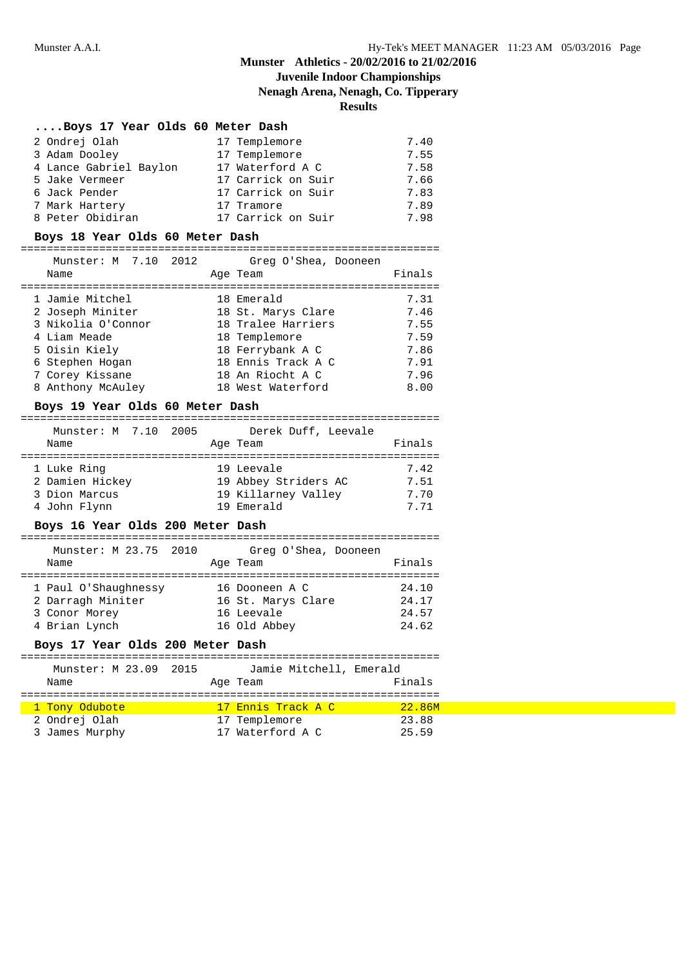# **Juvenile Indoor Championships**

**Nenagh Arena, Nenagh, Co. Tipperary**

## **Results**

## **....Boys 17 Year Olds 60 Meter Dash**

| 2 Ondrej Olah          | 17 Templemore      | 7.40 |
|------------------------|--------------------|------|
| 3 Adam Dooley          | 17 Templemore      | 7.55 |
| 4 Lance Gabriel Baylon | 17 Waterford A C   | 7.58 |
| 5 Jake Vermeer         | 17 Carrick on Suir | 7.66 |
| 6 Jack Pender          | 17 Carrick on Suir | 7.83 |
| 7 Mark Hartery         | 17 Tramore         | 7.89 |
| 8 Peter Obidiran       | 17 Carrick on Suir | 7.98 |

### **Boys 18 Year Olds 60 Meter Dash**

# ================================================================

| Munster: M 7.10 2012<br>Name | Greg O'Shea, Dooneen<br>Age Team | Finals |
|------------------------------|----------------------------------|--------|
| 1 Jamie Mitchel              | 18 Emerald                       | 7.31   |
| 2 Joseph Miniter             | 18 St. Marys Clare               | 7.46   |
| 3 Nikolia O'Connor           | 18 Tralee Harriers               | 7.55   |
| 4 Liam Meade                 | 18 Templemore                    | 7.59   |
| 5 Oisin Kiely                | 18 Ferrybank A C                 | 7.86   |
| 6 Stephen Hogan              | 18 Ennis Track A C               | 7.91   |
| 7 Corey Kissane              | 18 An Riocht A C                 | 7.96   |
| 8 Anthony McAuley            | 18 West Waterford                | 8.00   |

### **Boys 19 Year Olds 60 Meter Dash**

| Munster: M 7.10 2005             | Derek Duff, Leevale  |        |
|----------------------------------|----------------------|--------|
| Name                             | Age Team             | Finals |
| 1 Luke Ring                      | 19 Leevale           | 7.42   |
| 2 Damien Hickey                  | 19 Abbey Striders AC | 7.51   |
| 3 Dion Marcus                    | 19 Killarney Valley  | 7.70   |
| 4 John Flynn                     | 19 Emerald           | 7.71   |
| Boys 16 Yoar Olds 200 Motor Bash |                      |        |

#### **Boys 16 Year Olds 200 Meter Dash**

| Munster: M 23.75 2010<br>Name | Greg O'Shea, Dooneen<br>Age Team | Finals |
|-------------------------------|----------------------------------|--------|
| 1 Paul O'Shaughnessy          | 16 Dooneen A C                   | 24.10  |
| 2 Darragh Miniter             | 16 St. Marys Clare               | 24.17  |
| 3 Conor Morey                 | 16 Leevale                       | 24.57  |
| 4 Brian Lynch                 | 16 Old Abbey                     | 24.62  |

### **Boys 17 Year Olds 200 Meter Dash**

| Munster: M 23.09 2015 | Jamie Mitchell, Emerald |        |
|-----------------------|-------------------------|--------|
| Name                  | Age Team                | Finals |
|                       |                         |        |
| 1 Tony Odubote        | 17 Ennis Track A C      | 22.86M |
| 2 Ondrej Olah         | 17 Templemore           | 23.88  |
| 3 James Murphy        | 17 Waterford A C        | 25.59  |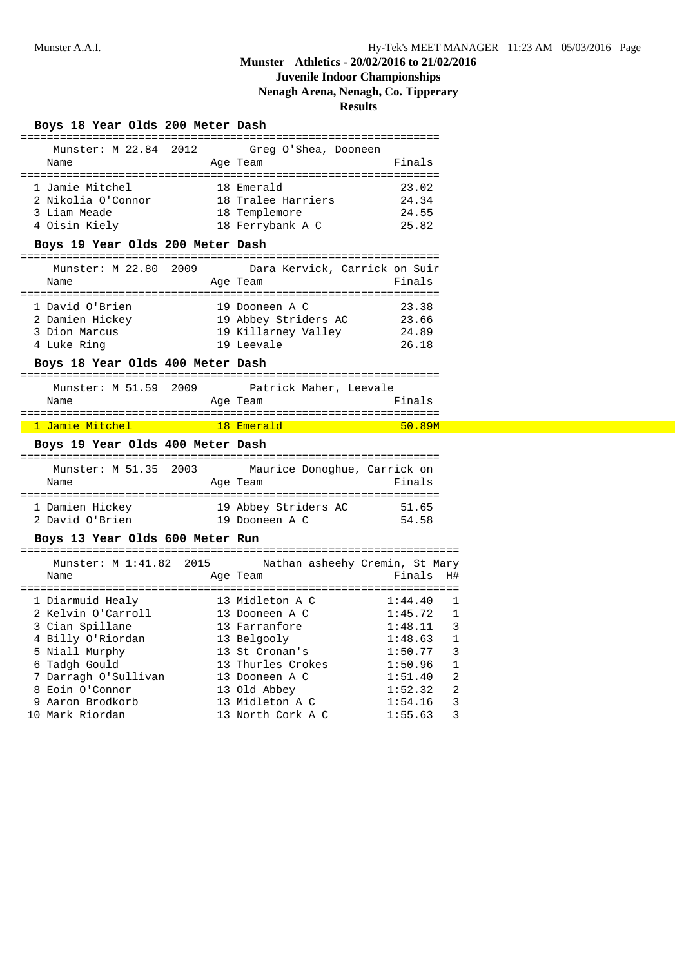## **Juvenile Indoor Championships**

**Nenagh Arena, Nenagh, Co. Tipperary**

**Results**

### **Boys 18 Year Olds 200 Meter Dash**

| Munster: M 22.84 2012 |  | Greg O'Shea, Dooneen |        |  |
|-----------------------|--|----------------------|--------|--|
| Name                  |  | Age Team             | Finals |  |
|                       |  |                      |        |  |
| 1 Jamie Mitchel       |  | 18 Emerald           | 23.02  |  |
| 2 Nikolia O'Connor    |  | 18 Tralee Harriers   | 24.34  |  |
| 3 Liam Meade          |  | 18 Templemore        | 24.55  |  |
| 4 Oisin Kiely         |  | 18 Ferrybank A C     | 25.82  |  |

### **Boys 19 Year Olds 200 Meter Dash**

| Munster: M 22.80 2009 |                      | Dara Kervick, Carrick on Suir |
|-----------------------|----------------------|-------------------------------|
| Name                  | Age Team             | Finals                        |
| 1 David O'Brien       | 19 Dooneen A C       | 23.38                         |
| 2 Damien Hickey       | 19 Abbey Striders AC | 23.66                         |
| 3 Dion Marcus         | 19 Killarney Valley  | 24.89                         |
| 4 Luke Ring           | 19 Leevale           | 26.18                         |

### **Boys 18 Year Olds 400 Meter Dash**

| Munster: M 51.59 2009 |  |          | Patrick Maher, Leevale |
|-----------------------|--|----------|------------------------|
| Name                  |  | Age Team | Finals                 |
|                       |  |          |                        |

## 1 Jamie Mitchel 18 Emerald 50.89M

### **Boys 19 Year Olds 400 Meter Dash**

| Munster: M 51.35 2003<br>Name | Maurice Donoghue, Carrick on<br>Age Team | Finals |
|-------------------------------|------------------------------------------|--------|
| 1 Damien Hickey               | 19 Abbey Striders AC                     | 51.65  |
| 2 David O'Brien               | 19 Dooneen A C                           | 54.58  |

### **Boys 13 Year Olds 600 Meter Run**

| Munster: M 1:41.82 2015<br>Name | Nathan asheehy Cremin, St Mary<br>Age Team | Finals  | - H#           |
|---------------------------------|--------------------------------------------|---------|----------------|
| 1 Diarmuid Healy                | 13 Midleton A C                            | 1:44.40 |                |
| 2 Kelvin O'Carroll              | 13 Dooneen A C                             | 1:45.72 | $\mathbf{1}$   |
| 3 Cian Spillane                 | 13 Farranfore                              | 1:48.11 | 3              |
| 4 Billy O'Riordan               | 13 Belgooly                                | 1:48.63 | 1              |
| 5 Niall Murphy                  | 13 St Cronan's                             | 1:50.77 | 3              |
| 6 Tadgh Gould                   | 13 Thurles Crokes                          | 1:50.96 | 1              |
| 7 Darragh O'Sullivan            | 13 Dooneen A C                             | 1:51.40 | 2              |
| 8 Eoin O'Connor                 | 13 Old Abbey                               | 1:52.32 | $\mathfrak{D}$ |
| 9 Aaron Brodkorb                | 13 Midleton A C                            | 1:54.16 | 3              |
| 10 Mark Riordan                 | 13 North Cork A C                          | 1:55.63 | 3              |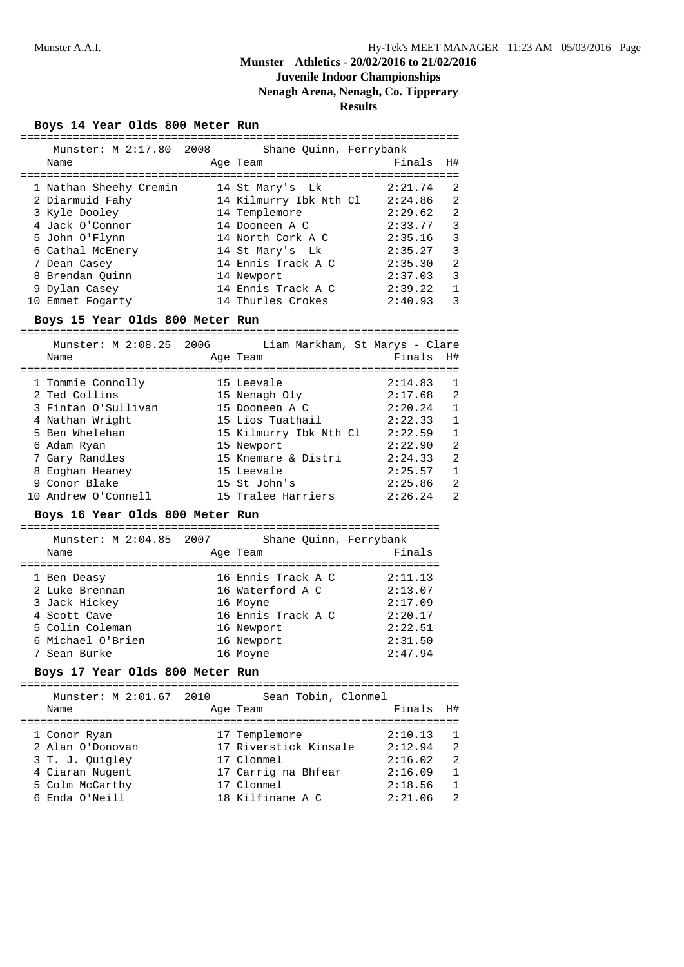## **Juvenile Indoor Championships**

**Nenagh Arena, Nenagh, Co. Tipperary**

**Results**

**Boys 14 Year Olds 800 Meter Run**

| Munster: M 2:17.80 2008 Shane Quinn, Ferrybank                                     |          |                                                                                                                |           |                |
|------------------------------------------------------------------------------------|----------|----------------------------------------------------------------------------------------------------------------|-----------|----------------|
| Name                                                                               |          | Age Team and the Age of the Age of the Age of the Age of the Age of the Age of the Age of the Age of the Age o | Finals    | H#             |
|                                                                                    |          |                                                                                                                |           |                |
| 1 Nathan Sheehy Cremin 14 St Mary's Lk 2:21.74                                     |          |                                                                                                                |           | 2              |
|                                                                                    |          |                                                                                                                |           | 2              |
| 3 Kyle Dooley                                                                      |          | 14 Templemore 2:29.62                                                                                          |           | 2              |
| 4 Jack 0'Connor                       14 Dooneen A C                   2:33.77     |          |                                                                                                                |           | 3              |
| 5 John O'Flynn                                                                     |          | 14 North Cork A C 2:35.16                                                                                      |           | 3              |
| 6 Cathal McEnery 14 St Mary's Lk 2:35.27                                           |          |                                                                                                                |           | $\mathbf{3}$   |
| 7 Dean Casey                                                                       |          | 14 Ennis Track A C 2:35.30                                                                                     |           | $\overline{2}$ |
| 8 Brendan Quinn 14 Newport                                                         |          |                                                                                                                | 2:37.03   | $\mathbf{3}$   |
|                                                                                    |          |                                                                                                                |           | $\mathbf{1}$   |
|                                                                                    |          |                                                                                                                |           |                |
| 10 Emmet Fogarty 14 Thurles Crokes 2:40.93                                         |          |                                                                                                                |           | 3              |
| Boys 15 Year Olds 800 Meter Run                                                    |          |                                                                                                                |           |                |
| Munster: M 2:08.25 2006 Liam Markham, St Marys - Clare                             |          |                                                                                                                |           |                |
| Name                                                                               | Age Team |                                                                                                                | Finals H# |                |
|                                                                                    |          |                                                                                                                |           | $\mathbf{1}$   |
| 1 Tommie Connolly 15 Leevale 19 (2:14.83)<br>2 Ted Collins 15 Nenagh Oly (2:17.68) |          |                                                                                                                |           | 2              |
| 3 Fintan O'Sullivan 15 Dooneen A C 2:20.24                                         |          |                                                                                                                |           | $\mathbf{1}$   |
| 4 Nathan Wright                                                                    |          | $15$ Lios Tuathail $2:22.33$                                                                                   |           | $\mathbf{1}$   |
| 5 Ben Whelehan                                                                     |          | 15 Kilmurry Ibk Nth Cl 2:22.59                                                                                 |           | $\mathbf{1}$   |
| 6 Adam Ryan                                                                        |          | 15 Newport                                                                                                     | 2:22.90   | 2              |
| 7 Gary Randles                                                                     |          | 15 Knemare & Distri $2:24.33$                                                                                  |           | 2              |
| 8 Eoghan Heaney                                                                    |          | 15 Leevale                                                                                                     | 2:25.57   | $\mathbf{1}$   |

# 10 Andrew O'Connell 15 Tralee Harriers 2:26.24 2

### **Boys 16 Year Olds 800 Meter Run**

================================================================ Munster: M 2:04.85 2007 Shane Quinn, Ferrybank Name Research Manneson Age Team and Manneson Finals ================================================================ 1 Ben Deasy 16 Ennis Track A C 2:11.13 2 Luke Brennan 16 Waterford A C 2:13.07 3 Jack Hickey 16 Moyne 2:17.09 4 Scott Cave 16 Ennis Track A C 2:20.17 5 Colin Coleman 16 Newport 2:22.51 6 Michael O'Brien 16 Newport 2:31.50 7 Sean Burke 16 Moyne 2:47.94

### **Boys 17 Year Olds 800 Meter Run**

| Munster: M 2:01.67 2010 | Sean Tobin, Clonmel   |           |                |
|-------------------------|-----------------------|-----------|----------------|
| Name                    | Age Team              | Finals H# |                |
| 1 Conor Ryan            | 17 Templemore         | 2:10.13   |                |
| 2 Alan O'Donovan        | 17 Riverstick Kinsale | 2:12.94   | 2              |
| 3 T. J. Quigley         | 17 Clonmel            | 2:16.02   | $\mathfrak{D}$ |
| 4 Ciaran Nugent         | 17 Carrig na Bhfear   | 2:16.09   | 1              |
| 5 Colm McCarthy         | 17 Clonmel            | 2:18.56   |                |
| 6 Enda O'Neill          | 18 Kilfinane A C      | 2:21.06   | 2              |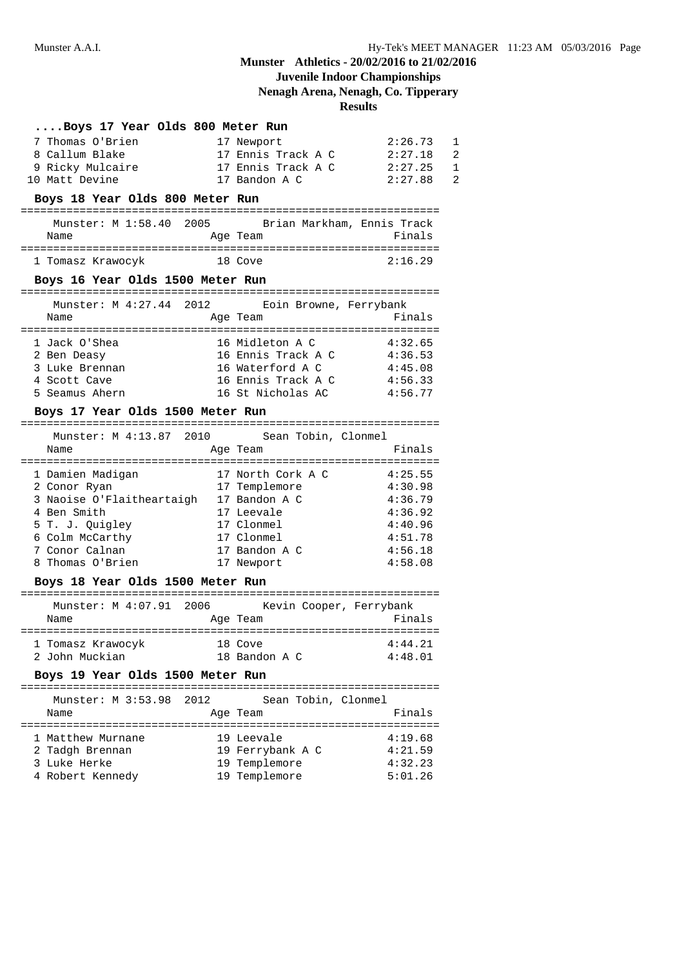## **Juvenile Indoor Championships**

**Nenagh Arena, Nenagh, Co. Tipperary**

## **Results**

| Boys 17 Year Olds 800 Meter Run                                                                                                   |                                             |                    |
|-----------------------------------------------------------------------------------------------------------------------------------|---------------------------------------------|--------------------|
| 7 Thomas O'Brien                                                                                                                  | 17 Newport                                  | 2:26.73            |
| 8 Callum Blake                                                                                                                    | 17 Ennis Track A C 2:27.18 2                |                    |
|                                                                                                                                   |                                             |                    |
| 9 Ricky Mulcaire <b>17</b> Ennis Track A C 2:27.25 1<br>17 Ennis Track A C 2:27.25 1<br>17 Bandon A C 2:27.88 2<br>10 Matt Devine |                                             |                    |
| Boys 18 Year Olds 800 Meter Run                                                                                                   |                                             |                    |
| Munster: M 1:58.40 2005 Brian Markham, Ennis Track                                                                                |                                             |                    |
| Name                                                                                                                              | Age Team                                    | Finals             |
|                                                                                                                                   |                                             |                    |
| 1 Tomasz Krawocyk 18 Cove                                                                                                         |                                             | 2:16.29            |
| Boys 16 Year Olds 1500 Meter Run                                                                                                  |                                             |                    |
| Munster: M 4:27.44 2012 Eoin Browne, Ferrybank                                                                                    |                                             |                    |
| Name                                                                                                                              | Age Team                                    | Finals             |
|                                                                                                                                   |                                             |                    |
| 1 Jack O'Shea                                                                                                                     | 16 Midleton A C 4:32.65                     |                    |
| 2 Ben Deasy                                                                                                                       | 16 Ennis Track A C 4:36.53                  |                    |
| 3 Luke Brennan                                                                                                                    | 16 Waterford A C                            | 4:45.08            |
| 4 Scott Cave                                                                                                                      | 16 Ennis Track A C                          | 4:56.33            |
| 5 Seamus Ahern                                                                                                                    | 16 St Nicholas AC                           | 4:56.77            |
| Boys 17 Year Olds 1500 Meter Run                                                                                                  |                                             |                    |
|                                                                                                                                   |                                             |                    |
|                                                                                                                                   | Munster: M 4:13.87 2010 Sean Tobin, Clonmel |                    |
|                                                                                                                                   |                                             |                    |
| Name                                                                                                                              | Age Team                                    | Finals             |
|                                                                                                                                   |                                             |                    |
|                                                                                                                                   |                                             |                    |
| 1 Damien Madigan 17 North Cork A C 4:25.55<br>2 Conor Ryan 17 Templemore 4:30 98                                                  | 17 Templemore                               | 4:30.98            |
| 3 Naoise O'Flaitheartaigh 17 Bandon A C                                                                                           |                                             | 4:36.79            |
| 4 Ben Smith                                                                                                                       | 17 Leevale                                  | 4:36.92            |
| 5 T. J. Quigley                                                                                                                   | 17 Clonmel                                  | 4:40.96            |
| 6 Colm McCarthy                                                                                                                   | 17 Clonmel                                  | 4:51.78            |
| 7 Conor Calnan<br>8 Thomas O'Brien                                                                                                | 17 Bandon A C<br>17 Newport                 | 4:56.18<br>4:58.08 |

## ================================================================ Munster: M 4:07.91 2006 Kevin Cooper, Ferrybank

| Name              | Age Team      | Finals  |
|-------------------|---------------|---------|
|                   |               |         |
| 1 Tomasz Krawocyk | 18 Cove       | 4:44.21 |
| 2 John Muckian    | 18 Bandon A C | 4:48.01 |

## **Boys 19 Year Olds 1500 Meter Run**

| Name                             | Age Team                       | Finals             |
|----------------------------------|--------------------------------|--------------------|
| 1 Matthew Murnane                | 19 Leevale                     | 4:19.68            |
| 2 Tadgh Brennan                  | 19 Ferrybank A C               | 4:21.59            |
| 3 Luke Herke<br>4 Robert Kennedy | 19 Templemore<br>19 Templemore | 4:32.23<br>5:01.26 |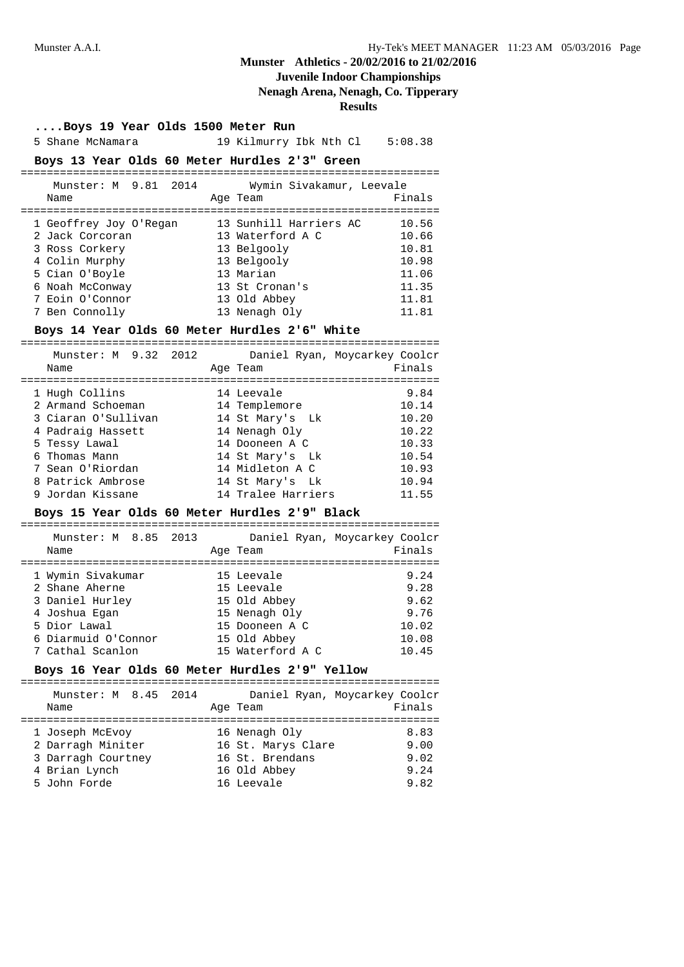## **Juvenile Indoor Championships**

## **Nenagh Arena, Nenagh, Co. Tipperary**

**Results**

| Boys 19 Year Olds 1500 Meter Run |  |  |  |  |  |  |
|----------------------------------|--|--|--|--|--|--|
|----------------------------------|--|--|--|--|--|--|

5 Shane McNamara 19 Kilmurry Ibk Nth Cl 5:08.38

### **Boys 13 Year Olds 60 Meter Hurdles 2'3" Green**

| Munster: M 9.81 2014   | Wymin Sivakamur, Leevale |        |
|------------------------|--------------------------|--------|
| Name                   | Age Team                 | Finals |
|                        |                          |        |
| 1 Geoffrey Joy O'Regan | 13 Sunhill Harriers AC   | 10.56  |
| 2 Jack Corcoran        | 13 Waterford A C         | 10.66  |
| 3 Ross Corkery         | 13 Belgooly              | 10.81  |
| 4 Colin Murphy         | 13 Belgooly              | 10.98  |
| 5 Cian O'Boyle         | 13 Marian                | 11.06  |
| 6 Noah McConway        | 13 St Cronan's           | 11.35  |
| 7 Eoin O'Connor        | 13 Old Abbey             | 11.81  |
| Ben Connolly           | 13 Nenagh Oly            | 11.81  |

### **Boys 14 Year Olds 60 Meter Hurdles 2'6" White**

| Munster: M 9.32 2012<br>Name | Age Team           | Daniel Ryan, Moycarkey Coolcr<br>Finals |
|------------------------------|--------------------|-----------------------------------------|
| 1 Hugh Collins               | 14 Leevale         | 9.84                                    |
| 2 Armand Schoeman            | 14 Templemore      | 10.14                                   |
| 3 Ciaran O'Sullivan          | 14 St Mary's Lk    | 10.20                                   |
| 4 Padraig Hassett            | 14 Nenagh Oly      | 10.22                                   |
| 5 Tessy Lawal                | 14 Dooneen A C     | 10.33                                   |
| 6 Thomas Mann                | 14 St Mary's Lk    | 10.54                                   |
| 7 Sean O'Riordan             | 14 Midleton A C    | 10.93                                   |
| 8 Patrick Ambrose            | 14 St Mary's Lk    | 10.94                                   |
| 9 Jordan Kissane             | 14 Tralee Harriers | 11.55                                   |

### **Boys 15 Year Olds 60 Meter Hurdles 2'9" Black**

| Munster: M 8.85 2013 |  |                  | Daniel Ryan, Moycarkey Coolcr |
|----------------------|--|------------------|-------------------------------|
| Name                 |  | Age Team         | Finals                        |
|                      |  |                  |                               |
| 1 Wymin Sivakumar    |  | 15 Leevale       | 9.24                          |
| 2 Shane Aherne       |  | 15 Leevale       | 9.28                          |
| 3 Daniel Hurley      |  | 15 Old Abbey     | 9.62                          |
| 4 Joshua Egan        |  | 15 Nenagh Oly    | 9.76                          |
| 5 Dior Lawal         |  | 15 Dooneen A C   | 10.02                         |
| 6 Diarmuid O'Connor  |  | 15 Old Abbey     | 10.08                         |
| 7 Cathal Scanlon     |  | 15 Waterford A C | 10.45                         |

### **Boys 16 Year Olds 60 Meter Hurdles 2'9" Yellow**

| Munster: M 8.45 2014 |                    | Daniel Ryan, Moycarkey Coolcr |
|----------------------|--------------------|-------------------------------|
| Name                 | Age Team           | Finals                        |
|                      |                    |                               |
| 1 Joseph McEvoy      | 16 Nenagh Oly      | 8.83                          |
| 2 Darragh Miniter    | 16 St. Marys Clare | 9.00                          |
| 3 Darragh Courtney   | 16 St. Brendans    | 9.02                          |
| 4 Brian Lynch        | 16 Old Abbey       | 9.24                          |
| 5 John Forde         | 16 Leevale         | 9.82                          |
|                      |                    |                               |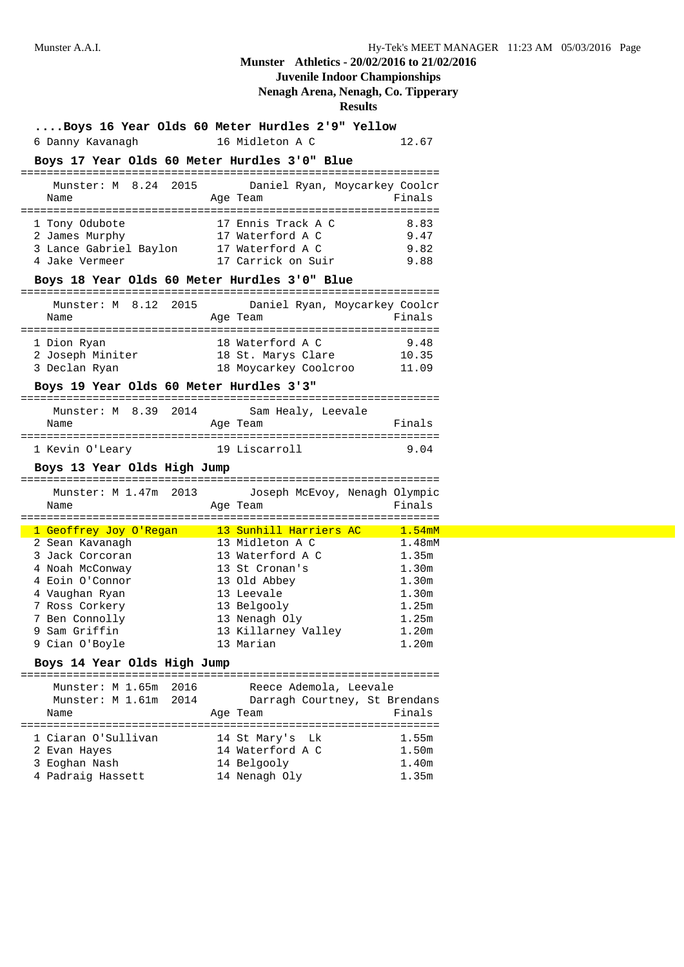# **Juvenile Indoor Championships**

## **Nenagh Arena, Nenagh, Co. Tipperary**

| Boys 16 Year Olds 60 Meter Hurdles 2'9" Yellow |                               |                      |
|------------------------------------------------|-------------------------------|----------------------|
| 6 Danny Kavanagh                               | 16 Midleton A C               | 12.67                |
| Boys 17 Year Olds 60 Meter Hurdles 3'0" Blue   |                               |                      |
| Munster: M 8.24 2015                           | Daniel Ryan, Moycarkey Coolcr |                      |
| Name                                           | Age Team                      | Finals               |
| 1 Tony Odubote                                 | 17 Ennis Track A C            | 8.83                 |
| 2 James Murphy                                 | 17 Waterford A C              | 9.47                 |
| 3 Lance Gabriel Baylon 17 Waterford A C        |                               | 9.82                 |
| 4 Jake Vermeer                                 | 17 Carrick on Suir            | 9.88                 |
| Boys 18 Year Olds 60 Meter Hurdles 3'0" Blue   |                               |                      |
| Munster: M 8.12 2015                           | Daniel Ryan, Moycarkey Coolcr |                      |
| Name                                           | Age Team                      | Finals               |
|                                                |                               |                      |
| 1 Dion Ryan                                    | 18 Waterford A C              | 9.48                 |
| 2 Joseph Miniter                               | 18 St. Marys Clare            | 10.35                |
| 3 Declan Ryan                                  | 18 Moycarkey Coolcroo         | 11.09                |
| Boys 19 Year Olds 60 Meter Hurdles 3'3"        |                               |                      |
| Munster: M 8.39 2014                           | Sam Healy, Leevale            |                      |
| Name                                           | Age Team                      | Finals               |
| 1 Kevin O'Leary 19 Liscarroll                  |                               | 9.04                 |
| Boys 13 Year Olds High Jump                    |                               |                      |
|                                                |                               |                      |
| Munster: M 1.47m 2013                          | Joseph McEvoy, Nenagh Olympic |                      |
| Name                                           | Age Team                      | Finals               |
| 1 Geoffrey Joy O'Regan 13 Sunhill Harriers AC  |                               | $\overline{1.54}$ mM |
| 2 Sean Kavanagh                                | 13 Midleton A C               | 1.48mM               |
| 3 Jack Corcoran                                | 13 Waterford A C              | 1.35m                |
| 4 Noah McConway                                | 13 St Cronan's                | 1.30m                |
| 4 Eoin O'Connor                                | 13 Old Abbey                  | 1.30m                |
| 4 Vaughan Ryan                                 | 13 Leevale                    | 1.30m                |
| 7 Ross Corkery                                 | 13 Belgooly                   | 1.25m                |
| 7 Ben Connolly                                 | 13 Nenagh Oly                 | 1.25m                |
| 9 Sam Griffin                                  | 13 Killarney Valley           | 1.20m                |
| 9 Cian O'Boyle                                 | 13 Marian                     | 1.20m                |
| Boys 14 Year Olds High Jump                    |                               |                      |
| =========================                      |                               |                      |
| Munster: M 1.65m<br>2016                       | Reece Ademola, Leevale        |                      |
| 2014<br>Munster: M 1.61m                       | Darragh Courtney, St Brendans |                      |
| Name                                           | Age Team                      | Finals               |
| 1 Ciaran O'Sullivan                            | Lk<br>14 St Mary's            | 1.55m                |
| 2 Evan Hayes                                   | 14 Waterford A C              | 1.50m                |
| 3 Eoghan Nash                                  | 14 Belgooly                   | 1.40m                |
| 4 Padraig Hassett                              | 14 Nenagh Oly                 | 1.35m                |
|                                                |                               |                      |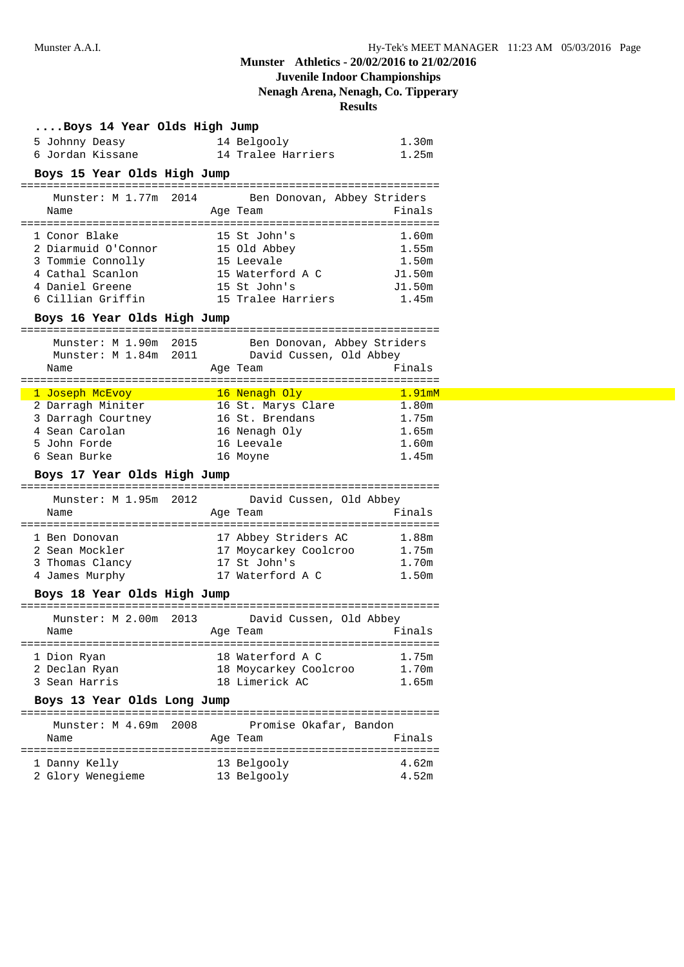## **Juvenile Indoor Championships**

**Nenagh Arena, Nenagh, Co. Tipperary**

| Boys 14 Year Olds High Jump          |  |                                                                                                                 |                            |
|--------------------------------------|--|-----------------------------------------------------------------------------------------------------------------|----------------------------|
| 5 Johnny Deasy                       |  | 14 Belgooly                                                                                                     | 1.30m                      |
| 6 Jordan Kissane                     |  | 14 Tralee Harriers                                                                                              | 1.25m                      |
| Boys 15 Year Olds High Jump          |  |                                                                                                                 |                            |
|                                      |  |                                                                                                                 |                            |
| Munster: M 1.77m 2014                |  | Ben Donovan, Abbey Striders                                                                                     |                            |
| Name                                 |  | Age Team                                                                                                        | Finals                     |
|                                      |  |                                                                                                                 |                            |
| 1 Conor Blake<br>2 Diarmuid O'Connor |  | 15 St John's<br>15 Old Abbey                                                                                    | 1.60m<br>1.55m             |
| 3 Tommie Connolly                    |  | 15 Leevale                                                                                                      | 1.50m                      |
| 4 Cathal Scanlon                     |  | 15 Waterford A C                                                                                                | J1.50m                     |
| 4 Daniel Greene                      |  | 15 St John's                                                                                                    | J1.50m                     |
|                                      |  | 6 Cillian Griffin 15 Tralee Harriers                                                                            | 1.45m                      |
|                                      |  |                                                                                                                 |                            |
| Boys 16 Year Olds High Jump          |  |                                                                                                                 |                            |
|                                      |  | Munster: M 1.90m 2015 Ben Donovan, Abbey Striders                                                               |                            |
|                                      |  | Munster: M 1.84m 2011 David Cussen, Old Abbey                                                                   |                            |
| Name                                 |  | Age Team                                                                                                        | Finals                     |
|                                      |  |                                                                                                                 |                            |
| 1 Joseph McEvoy 16 Nenagh Oly        |  |                                                                                                                 | $1.91$ m $M$               |
| 2 Darragh Miniter                    |  | 16 St. Marys Clare                                                                                              | 1.80m                      |
| 3 Darragh Courtney                   |  | 16 St. Brendans                                                                                                 | 1.75m                      |
|                                      |  |                                                                                                                 |                            |
| 4 Sean Carolan                       |  | 16 Nenagh Oly                                                                                                   | 1.65m                      |
| 5 John Forde                         |  | 16 Leevale                                                                                                      | 1.60m                      |
| 6 Sean Burke                         |  | 16 Moyne                                                                                                        | 1.45m                      |
| Boys 17 Year Olds High Jump          |  |                                                                                                                 |                            |
|                                      |  |                                                                                                                 |                            |
| Munster: M 1.95m 2012                |  | David Cussen, Old Abbey                                                                                         |                            |
| Name                                 |  | Age Team                                                                                                        | Finals                     |
| 1 Ben Donovan                        |  |                                                                                                                 | 1.88m                      |
| 2 Sean Mockler                       |  | 17 Abbey Striders AC                                                                                            | 1.75m                      |
| 3 Thomas Clancy                      |  | 17 Moycarkey Coolcroo<br>17 St John's                                                                           | 1.70m                      |
| 4 James Murphy                       |  | 17 Waterford A C                                                                                                | 1.50m                      |
|                                      |  |                                                                                                                 |                            |
| Boys 18 Year Olds High Jump          |  |                                                                                                                 |                            |
|                                      |  | Munster: M 2.00m 2013 David Cussen, Old Abbey                                                                   |                            |
| Name                                 |  | Age Team and the state of the state of the state of the state of the state of the state of the state of the sta | Finals                     |
|                                      |  |                                                                                                                 |                            |
| 1 Dion Ryan                          |  | 18 Waterford A C                                                                                                | 1.75m                      |
| 2 Declan Ryan                        |  | 18 Moycarkey Coolcroo                                                                                           | 1.70m                      |
| 3 Sean Harris                        |  | 18 Limerick AC                                                                                                  | 1.65m                      |
| Boys 13 Year Olds Long Jump          |  |                                                                                                                 |                            |
|                                      |  |                                                                                                                 |                            |
| Munster: M 4.69m 2008                |  | Promise Okafar, Bandon                                                                                          |                            |
| Name                                 |  | Age Team                                                                                                        | Finals                     |
|                                      |  |                                                                                                                 |                            |
| 1 Danny Kelly<br>2 Glory Wenegieme   |  | 13 Belgooly<br>13 Belgooly                                                                                      | 4.62m<br>4.52 <sub>m</sub> |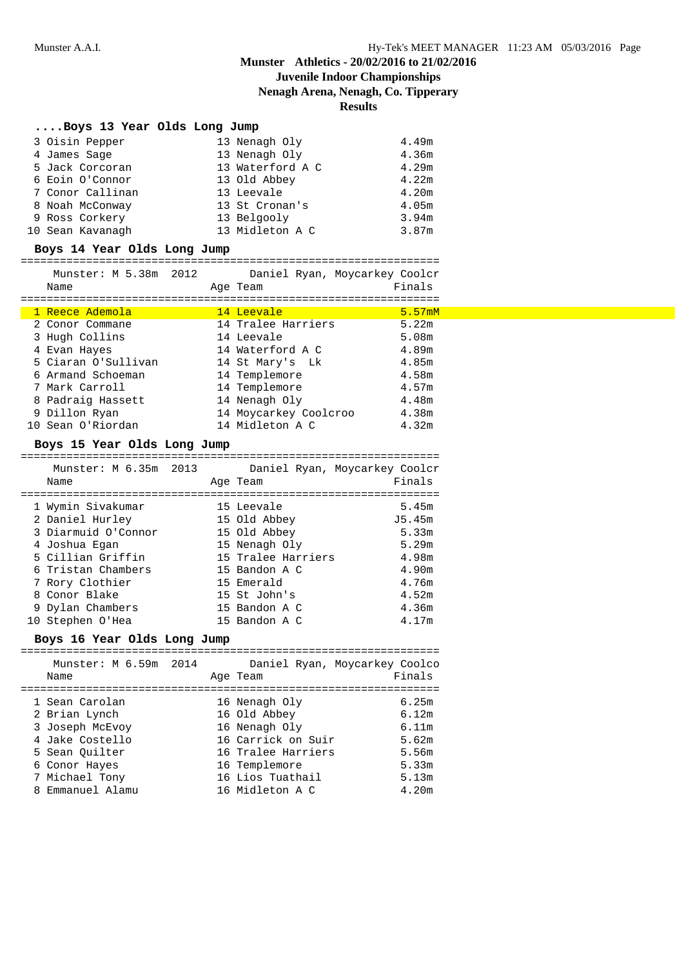# **Juvenile Indoor Championships**

**Nenagh Arena, Nenagh, Co. Tipperary**

**Results**

| Boys 13 Year Olds Long Jump |                  |       |
|-----------------------------|------------------|-------|
| 3 Oisin Pepper              | 13 Nenagh Oly    | 4.49m |
| 4 James Sage                | 13 Nenagh Oly    | 4.36m |
| 5 Jack Corcoran             | 13 Waterford A C | 4.29m |
| 6 Eoin O'Connor             | 13 Old Abbey     | 4.22m |
| 7 Conor Callinan            | 13 Leevale       | 4.20m |
| 8 Noah McConway             | 13 St Cronan's   | 4.05m |
| 9 Ross Corkery              | 13 Belgooly      | 3.94m |
| 10 Sean Kavanagh            | 13 Midleton A C  | 3.87m |

## **Boys 14 Year Olds Long Jump**

| Munster: M 5.38m 2012<br>Name |  | Age Team              | Daniel Ryan, Moycarkey Coolcr<br>Finals |
|-------------------------------|--|-----------------------|-----------------------------------------|
|                               |  |                       |                                         |
| 1 Reece Ademola               |  | 14 Leevale            | 5.57mM                                  |
| 2 Conor Commane               |  | 14 Tralee Harriers    | 5.22m                                   |
| 3 Hugh Collins                |  | 14 Leevale            | 5.08m                                   |
| 4 Evan Hayes                  |  | 14 Waterford A C      | 4.89m                                   |
| 5 Ciaran O'Sullivan           |  | 14 St Mary's Lk       | 4.85m                                   |
| 6 Armand Schoeman             |  | 14 Templemore         | 4.58m                                   |
| 7 Mark Carroll                |  | 14 Templemore         | 4.57m                                   |
| 8 Padraig Hassett             |  | 14 Nenagh Oly         | 4.48m                                   |
| 9 Dillon Ryan                 |  | 14 Moycarkey Coolcroo | 4.38m                                   |
| 10 Sean O'Riordan             |  | 14 Midleton A C       | 4.32m                                   |

### **Boys 15 Year Olds Long Jump**

| Munster: M 6.35m 2013<br>Name |  | Age Team           | Daniel Ryan, Moycarkey Coolcr<br>Finals |
|-------------------------------|--|--------------------|-----------------------------------------|
| 1 Wymin Sivakumar             |  | 15 Leevale         | 5.45m                                   |
| 2 Daniel Hurley               |  | 15 Old Abbey       | J5.45m                                  |
| 3 Diarmuid O'Connor           |  | 15 Old Abbey       | 5.33m                                   |
| 4 Joshua Egan                 |  | 15 Nenagh Oly      | 5.29m                                   |
| 5 Cillian Griffin             |  | 15 Tralee Harriers | 4.98m                                   |
| 6 Tristan Chambers            |  | 15 Bandon A C      | 4.90m                                   |
| 7 Rory Clothier               |  | 15 Emerald         | 4.76m                                   |
| 8 Conor Blake                 |  | 15 St John's       | 4.52m                                   |
| 9 Dylan Chambers              |  | 15 Bandon A C      | 4.36m                                   |
| 10 Stephen O'Hea              |  | 15 Bandon A C      | 4.17m                                   |

### **Boys 16 Year Olds Long Jump**

|   | Munster: M 6.59m 2014<br>Name |  | Age Team           | Daniel Ryan, Moycarkey Coolco<br>Finals |
|---|-------------------------------|--|--------------------|-----------------------------------------|
|   |                               |  |                    |                                         |
|   | 1 Sean Carolan                |  | 16 Nenagh Oly      | 6.25m                                   |
|   | 2 Brian Lynch                 |  | 16 Old Abbey       | 6.12m                                   |
|   | 3 Joseph McEvoy               |  | 16 Nenagh Oly      | 6.11m                                   |
|   | 4 Jake Costello               |  | 16 Carrick on Suir | 5.62m                                   |
|   | 5 Sean Ouilter                |  | 16 Tralee Harriers | 5.56m                                   |
|   | 6 Conor Hayes                 |  | 16 Templemore      | 5.33m                                   |
|   | 7 Michael Tony                |  | 16 Lios Tuathail   | 5.13m                                   |
| 8 | Emmanuel Alamu                |  | 16 Midleton A C    | 4.20m                                   |
|   |                               |  |                    |                                         |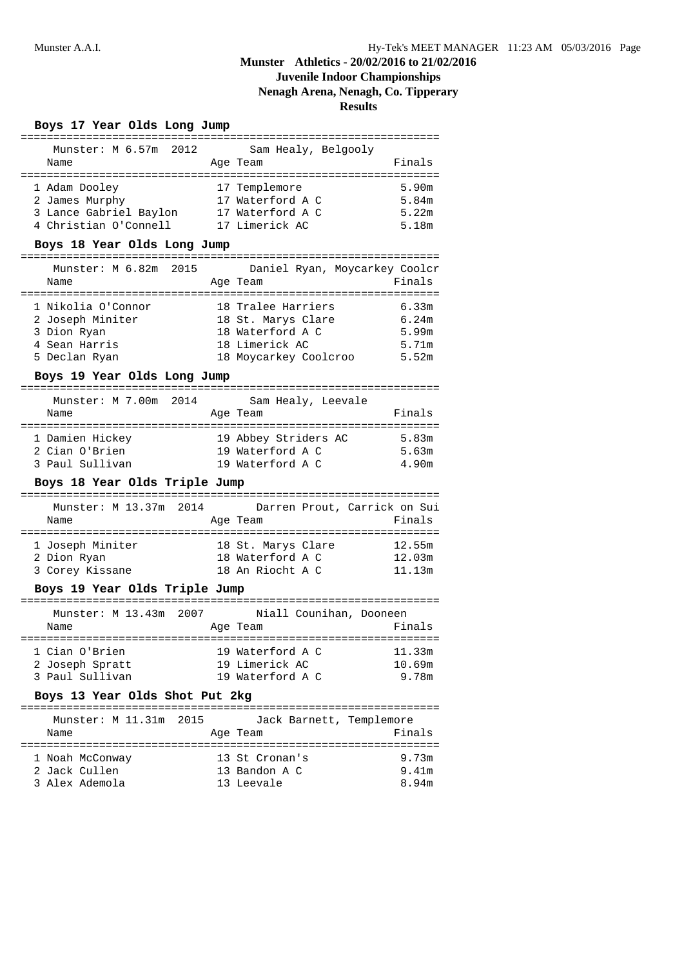# **Juvenile Indoor Championships**

**Nenagh Arena, Nenagh, Co. Tipperary**

| Boys 17 Year Olds Long Jump                         |                               |        |
|-----------------------------------------------------|-------------------------------|--------|
| Munster: M 6.57m 2012                               | Sam Healy, Belgooly           |        |
| Name                                                | Age Team                      | Finals |
|                                                     |                               |        |
| 1 Adam Dooley                                       | 17 Templemore                 | 5.90m  |
| 2 James Murphy                                      | 17 Waterford A C              | 5.84m  |
| 3 Lance Gabriel Baylon 17 Waterford A C             |                               | 5.22m  |
| 4 Christian O'Connell 17 Limerick AC                |                               | 5.18m  |
| Boys 18 Year Olds Long Jump                         |                               |        |
| Munster: M 6.82m 2015                               | Daniel Ryan, Moycarkey Coolcr |        |
| Name                                                | Age Team                      | Finals |
| 1 Nikolia O'Connor                                  | 18 Tralee Harriers            | 6.33m  |
| 2 Joseph Miniter                                    | 18 St. Marys Clare 6.24m      |        |
| 3 Dion Ryan                                         | 18 Waterford A C              | 5.99m  |
| 4 Sean Harris                                       | 18 Limerick AC                | 5.71m  |
| 5 Declan Ryan                                       | 18 Moycarkey Coolcroo 5.52m   |        |
|                                                     |                               |        |
| Boys 19 Year Olds Long Jump                         |                               |        |
| Munster: M 7.00m 2014                               | Sam Healy, Leevale            |        |
| Name                                                | Age Team                      | Finals |
|                                                     | 19 Abbey Striders AC 5.83m    |        |
| 1 Damien Hickey<br>2 Cian O'Brien                   | 19 Waterford A C              | 5.63m  |
|                                                     |                               |        |
| 3 Paul Sullivan                                     | 19 Waterford A C              | 4.90m  |
| Boys 18 Year Olds Triple Jump                       |                               |        |
| Munster: M 13.37m 2014 Darren Prout, Carrick on Sui |                               |        |
| Name                                                | Age Team                      | Finals |
|                                                     |                               |        |
| 1 Joseph Miniter                                    | 18 St. Marys Clare            | 12.55m |
| 2 Dion Ryan                                         | 18 Waterford A C              | 12.03m |
| 3 Corey Kissane                                     | 18 An Riocht A C              | 11.13m |
| Boys 19 Year Olds Triple Jump                       |                               |        |
| Munster: M 13.43m 2007                              | Niall Counihan, Dooneen       |        |
| Name                                                | Age Team                      | Finals |
|                                                     |                               |        |
| 1 Cian O'Brien                                      | 19 Waterford A C              | 11.33m |
| 2 Joseph Spratt                                     | 19 Limerick AC                | 10.69m |
| 3 Paul Sullivan                                     | 19 Waterford A C              | 9.78m  |
| Boys 13 Year Olds Shot Put 2kg                      |                               |        |
| Munster: M 11.31m 2015                              | Jack Barnett, Templemore      |        |
| Name                                                | Age Team                      | Finals |
|                                                     |                               |        |
| 1 Noah McConway                                     | 13 St Cronan's                | 9.73m  |
| 2 Jack Cullen                                       | 13 Bandon A C                 | 9.41m  |
| 3 Alex Ademola                                      | 13 Leevale                    | 8.94m  |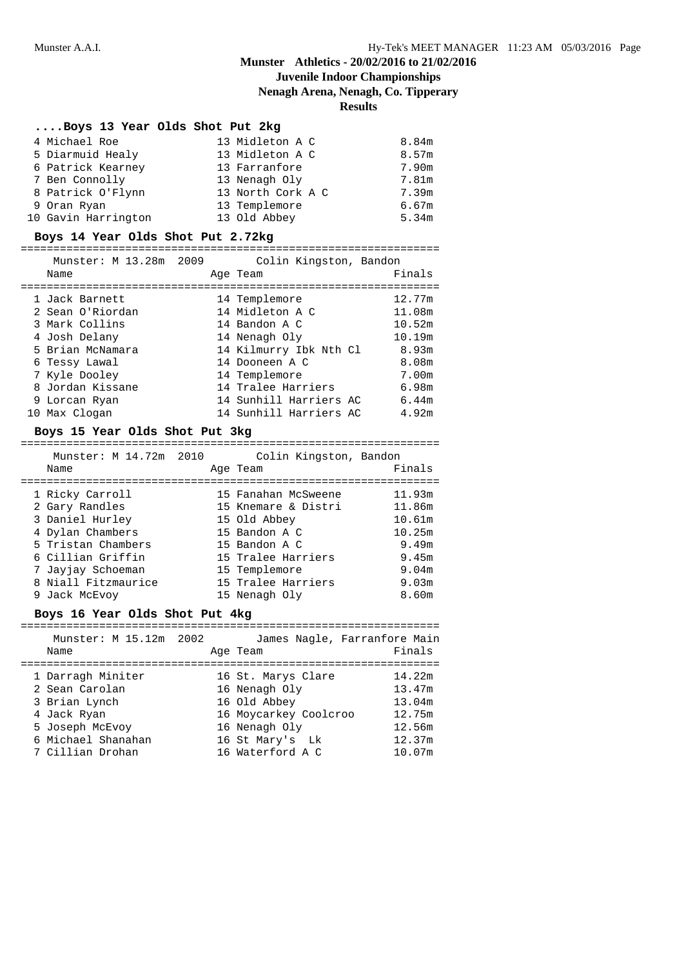## **Munster Athletics - 20/02/2016 to 21/02/2016** 24 **Juvenile Indoor Championships**

**Nenagh Arena, Nenagh, Co. Tipperary**

**Results**

| Boys 13 Year Olds Shot Put 2kg |                   |       |
|--------------------------------|-------------------|-------|
| 4 Michael Roe                  | 13 Midleton A C   | 8.84m |
| 5 Diarmuid Healy               | 13 Midleton A C   | 8.57m |
| 6 Patrick Kearney              | 13 Farranfore     | 7.90m |
| 7 Ben Connolly                 | 13 Nenagh Oly     | 7.81m |
| 8 Patrick O'Flynn              | 13 North Cork A C | 7.39m |
| 9 Oran Ryan                    | 13 Templemore     | 6.67m |
| 10 Gavin Harrington            | 13 Old Abbey      | 5.34m |

## **Boys 14 Year Olds Shot Put 2.72kg**

### ================================================================

| Munster: M 13.28m 2009 |  | Colin Kingston, Bandon |        |
|------------------------|--|------------------------|--------|
| Name                   |  | Age Team               | Finals |
|                        |  |                        |        |
| 1 Jack Barnett         |  | 14 Templemore          | 12.77m |
| 2 Sean O'Riordan       |  | 14 Midleton A C        | 11.08m |
| 3 Mark Collins         |  | 14 Bandon A C          | 10.52m |
| 4 Josh Delany          |  | 14 Nenagh Oly          | 10.19m |
| 5 Brian McNamara       |  | 14 Kilmurry Ibk Nth Cl | 8.93m  |
| 6 Tessy Lawal          |  | 14 Dooneen A C         | 8.08m  |
| 7 Kyle Dooley          |  | 14 Templemore          | 7.00m  |
| 8 Jordan Kissane       |  | 14 Tralee Harriers     | 6.98m  |
| 9 Lorcan Ryan          |  | 14 Sunhill Harriers AC | 6.44m  |
| 10 Max Clogan          |  | 14 Sunhill Harriers AC | 4.92m  |

## **Boys 15 Year Olds Shot Put 3kg**

| Munster: M 14.72m 2010 | Colin Kingston, Bandon |        |
|------------------------|------------------------|--------|
| Name                   | Age Team               | Finals |
| 1 Ricky Carroll        | 15 Fanahan McSweene    | 11.93m |
| 2 Gary Randles         | 15 Knemare & Distri    | 11.86m |
| 3 Daniel Hurley        | 15 Old Abbey           | 10.61m |
| 4 Dylan Chambers       | 15 Bandon A C          | 10.25m |
| 5 Tristan Chambers     | 15 Bandon A C          | 9.49m  |
| 6 Cillian Griffin      | 15 Tralee Harriers     | 9.45m  |
| 7 Jayjay Schoeman      | 15 Templemore          | 9.04m  |
| 8 Niall Fitzmaurice    | 15 Tralee Harriers     | 9.03m  |
| 9 Jack McEvoy          | 15 Nenagh Oly          | 8.60m  |

### **Boys 16 Year Olds Shot Put 4kg**

| Munster: M 15.12m 2002 |                       | James Nagle, Farranfore Main |
|------------------------|-----------------------|------------------------------|
| Name                   | Age Team              | Finals                       |
|                        |                       |                              |
| 1 Darragh Miniter      | 16 St. Marys Clare    | 14.22m                       |
| 2 Sean Carolan         | 16 Nenagh Oly         | 13.47m                       |
| 3 Brian Lynch          | 16 Old Abbey          | 13.04m                       |
| 4 Jack Ryan            | 16 Moycarkey Coolcroo | 12.75m                       |
| 5 Joseph McEvoy        | 16 Nenagh Oly         | 12.56m                       |
| 6 Michael Shanahan     | 16 St Mary's Lk       | 12.37m                       |
| 7 Cillian Drohan       | 16 Waterford A C      | 10.07m                       |
|                        |                       |                              |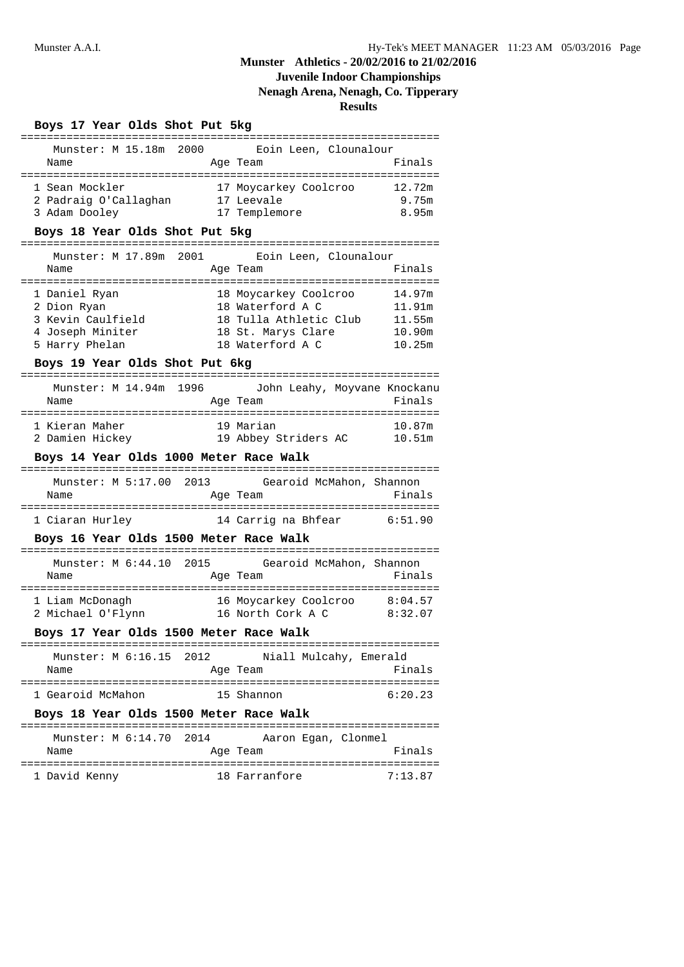## **Juvenile Indoor Championships**

## **Nenagh Arena, Nenagh, Co. Tipperary**

**Results**

|--|

| Munster: M 15.18m 2000 |  | Eoin Leen, Clounalour |        |
|------------------------|--|-----------------------|--------|
| Name                   |  | Age Team              | Finals |
|                        |  |                       |        |
| 1 Sean Mockler         |  | 17 Moycarkey Coolcroo | 12.72m |
| 2 Padraig O'Callaghan  |  | 17 Leevale            | 9.75m  |
| 3 Adam Dooley          |  | 17 Templemore         | 8.95m  |

### **Boys 18 Year Olds Shot Put 5kg**

|      | Munster: M 17.89m 2001 | Eoin Leen, Clounalour  |        |
|------|------------------------|------------------------|--------|
| Name |                        | Age Team               | Finals |
|      | 1 Daniel Ryan          | 18 Moycarkey Coolcroo  | 14.97m |
|      | 2 Dion Ryan            | 18 Waterford A C       | 11.91m |
|      | 3 Kevin Caulfield      | 18 Tulla Athletic Club | 11.55m |
|      | 4 Joseph Miniter       | 18 St. Marys Clare     | 10.90m |

5 Harry Phelan 18 Waterford A C 10.25m

#### **Boys 19 Year Olds Shot Put 6kg**

| Munster: M 14.94m 1996<br>Name | Age Team             | John Leahy, Moyvane Knockanu<br>Finals |
|--------------------------------|----------------------|----------------------------------------|
| 1 Kieran Maher                 | 19 Marian            | 10.87m                                 |
| 2 Damien Hickey                | 19 Abbey Striders AC | 10.51m                                 |

### **Boys 14 Year Olds 1000 Meter Race Walk**

| Munster: M 5:17.00 2013 |                     | Gearoid McMahon, Shannon |
|-------------------------|---------------------|--------------------------|
| Name                    | Age Team            | Finals                   |
|                         |                     |                          |
| 1 Ciaran Hurley         | 14 Carrig na Bhfear | 6:51.90                  |

### **Boys 16 Year Olds 1500 Meter Race Walk**

| Munster: M 6:44.10 2015<br>Name | Gearoid McMahon, Shannon<br>Age Team | Finals  |
|---------------------------------|--------------------------------------|---------|
| 1 Liam McDonagh                 | 16 Moycarkey Coolcroo                | 8:04.57 |
| 2 Michael O'Flynn               | 16 North Cork A C                    | 8:32.07 |

### **Boys 17 Year Olds 1500 Meter Race Walk**

|                   | Munster: M 6:16.15 2012 |            | Niall Mulcahy, Emerald |         |
|-------------------|-------------------------|------------|------------------------|---------|
| Name              |                         | Age Team   |                        | Finals  |
|                   |                         |            |                        |         |
| 1 Gearoid McMahon |                         | 15 Shannon |                        | 6:20.23 |

### **Boys 18 Year Olds 1500 Meter Race Walk**

| Munster: M 6:14.70 2014 | Aaron Egan, Clonmel |         |
|-------------------------|---------------------|---------|
| Name                    | Age Team            | Finals  |
|                         |                     |         |
| 1 David Kenny           | 18 Farranfore       | 7:13.87 |